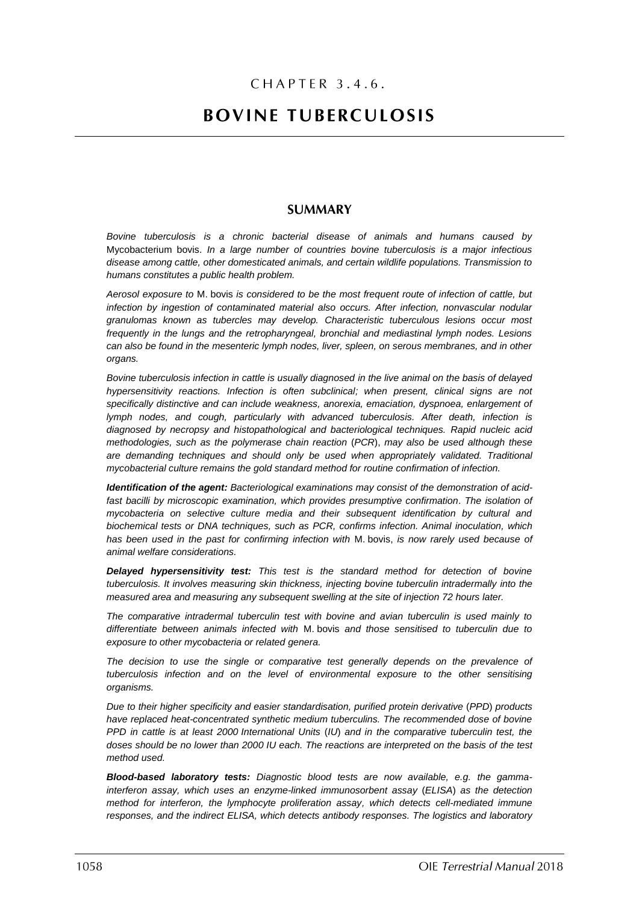# CHAPTER 3.4.6.

# **BOVINE TUBERCULOSIS**

# **SUMMARY**

*Bovine tuberculosis is a chronic bacterial disease of animals and humans caused by*  Mycobacterium bovis. *In a large number of countries bovine tuberculosis is a major infectious disease among cattle, other domesticated animals, and certain wildlife populations. Transmission to humans constitutes a public health problem.*

*Aerosol exposure to* M. bovis *is considered to be the most frequent route of infection of cattle, but infection by ingestion of contaminated material also occurs. After infection, nonvascular nodular granulomas known as tubercles may develop. Characteristic tuberculous lesions occur most frequently in the lungs and the retropharyngeal, bronchial and mediastinal lymph nodes. Lesions can also be found in the mesenteric lymph nodes, liver, spleen, on serous membranes, and in other organs.*

*Bovine tuberculosis infection in cattle is usually diagnosed in the live animal on the basis of delayed hypersensitivity reactions. Infection is often subclinical; when present, clinical signs are not specifically distinctive and can include weakness, anorexia, emaciation, dyspnoea, enlargement of lymph nodes, and cough, particularly with advanced tuberculosis. After death, infection is diagnosed by necropsy and histopathological and bacteriological techniques. Rapid nucleic acid methodologies, such as the polymerase chain reaction* (*PCR*), *may also be used although these are demanding techniques and should only be used when appropriately validated. Traditional mycobacterial culture remains the gold standard method for routine confirmation of infection.*

*Identification of the agent: Bacteriological examinations may consist of the demonstration of acidfast bacilli by microscopic examination, which provides presumptive confirmation*. *The isolation of mycobacteria on selective culture media and their subsequent identification by cultural and biochemical tests or DNA techniques, such as PCR, confirms infection. Animal inoculation, which has been used in the past for confirming infection with* M. bovis, *is now rarely used because of animal welfare considerations.*

*Delayed hypersensitivity test: This test is the standard method for detection of bovine tuberculosis. It involves measuring skin thickness, injecting bovine tuberculin intradermally into the measured area and measuring any subsequent swelling at the site of injection 72 hours later.*

*The comparative intradermal tuberculin test with bovine and avian tuberculin is used mainly to differentiate between animals infected with* M. bovis *and those sensitised to tuberculin due to exposure to other mycobacteria or related genera.*

*The decision to use the single or comparative test generally depends on the prevalence of tuberculosis infection and on the level of environmental exposure to the other sensitising organisms.*

*Due to their higher specificity and easier standardisation, purified protein derivative* (*PPD*) *products have replaced heat-concentrated synthetic medium tuberculins. The recommended dose of bovine PPD in cattle is at least 2000 International Units* (*IU*) *and in the comparative tuberculin test, the doses should be no lower than 2000 IU each. The reactions are interpreted on the basis of the test method used.*

*Blood-based laboratory tests: Diagnostic blood tests are now available, e.g. the gammainterferon assay, which uses an enzyme-linked immunosorbent assay* (*ELISA*) *as the detection method for interferon, the lymphocyte proliferation assay, which detects cell-mediated immune responses, and the indirect ELISA, which detects antibody responses. The logistics and laboratory*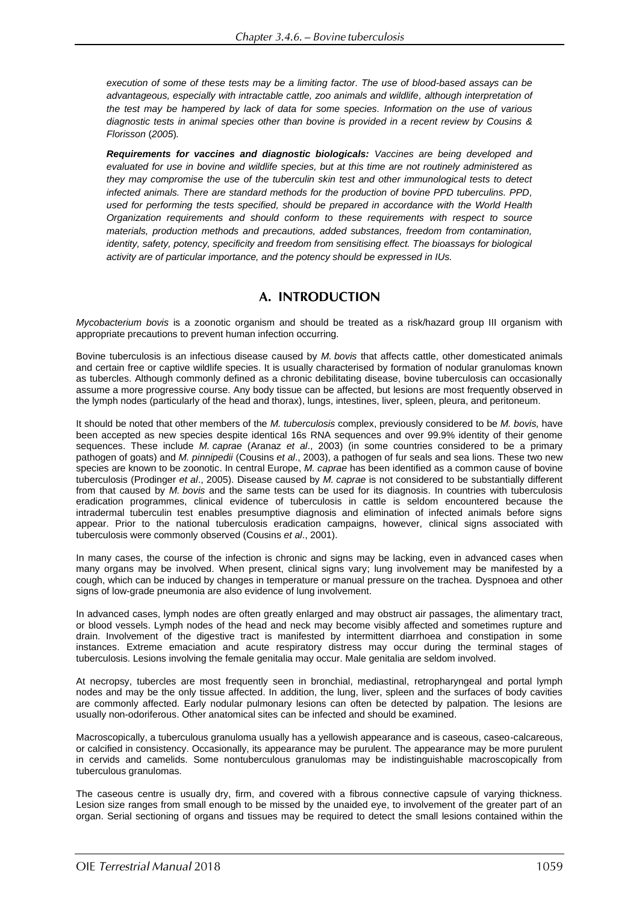*execution of some of these tests may be a limiting factor. The use of blood-based assays can be advantageous, especially with intractable cattle, zoo animals and wildlife, although interpretation of the test may be hampered by lack of data for some species. Information on the use of various diagnostic tests in animal species other than bovine is provided in a recent review by Cousins & Florisson* (*2005*)*.*

*Requirements for vaccines and diagnostic biologicals: Vaccines are being developed and evaluated for use in bovine and wildlife species, but at this time are not routinely administered as they may compromise the use of the tuberculin skin test and other immunological tests to detect infected animals. There are standard methods for the production of bovine PPD tuberculins. PPD, used for performing the tests specified, should be prepared in accordance with the World Health Organization requirements and should conform to these requirements with respect to source materials, production methods and precautions, added substances, freedom from contamination, identity, safety, potency, specificity and freedom from sensitising effect. The bioassays for biological activity are of particular importance, and the potency should be expressed in IUs.*

# A. INTRODUCTION

*Mycobacterium bovis* is a zoonotic organism and should be treated as a risk/hazard group III organism with appropriate precautions to prevent human infection occurring.

Bovine tuberculosis is an infectious disease caused by *M. bovis* that affects cattle, other domesticated animals and certain free or captive wildlife species. It is usually characterised by formation of nodular granulomas known as tubercles. Although commonly defined as a chronic debilitating disease, bovine tuberculosis can occasionally assume a more progressive course. Any body tissue can be affected, but lesions are most frequently observed in the lymph nodes (particularly of the head and thorax), lungs, intestines, liver, spleen, pleura, and peritoneum.

It should be noted that other members of the *M. tuberculosis* complex, previously considered to be *M. bovis,* have been accepted as new species despite identical 16s RNA sequences and over 99.9% identity of their genome sequences. These include *M. caprae* (Aranaz *et al*., 2003) (in some countries considered to be a primary pathogen of goats) and *M. pinnipedii* (Cousins *et al*., 2003), a pathogen of fur seals and sea lions. These two new species are known to be zoonotic. In central Europe, *M. caprae* has been identified as a common cause of bovine tuberculosis (Prodinger *et al*., 2005). Disease caused by *M. caprae* is not considered to be substantially different from that caused by *M. bovis* and the same tests can be used for its diagnosis. In countries with tuberculosis eradication programmes, clinical evidence of tuberculosis in cattle is seldom encountered because the intradermal tuberculin test enables presumptive diagnosis and elimination of infected animals before signs appear. Prior to the national tuberculosis eradication campaigns, however, clinical signs associated with tuberculosis were commonly observed (Cousins *et al*., 2001).

In many cases, the course of the infection is chronic and signs may be lacking, even in advanced cases when many organs may be involved. When present, clinical signs vary; lung involvement may be manifested by a cough, which can be induced by changes in temperature or manual pressure on the trachea. Dyspnoea and other signs of low-grade pneumonia are also evidence of lung involvement.

In advanced cases, lymph nodes are often greatly enlarged and may obstruct air passages, the alimentary tract, or blood vessels. Lymph nodes of the head and neck may become visibly affected and sometimes rupture and drain. Involvement of the digestive tract is manifested by intermittent diarrhoea and constipation in some instances. Extreme emaciation and acute respiratory distress may occur during the terminal stages of tuberculosis. Lesions involving the female genitalia may occur. Male genitalia are seldom involved.

At necropsy, tubercles are most frequently seen in bronchial, mediastinal, retropharyngeal and portal lymph nodes and may be the only tissue affected. In addition, the lung, liver, spleen and the surfaces of body cavities are commonly affected. Early nodular pulmonary lesions can often be detected by palpation. The lesions are usually non-odoriferous. Other anatomical sites can be infected and should be examined.

Macroscopically, a tuberculous granuloma usually has a yellowish appearance and is caseous, caseo-calcareous, or calcified in consistency. Occasionally, its appearance may be purulent. The appearance may be more purulent in cervids and camelids. Some nontuberculous granulomas may be indistinguishable macroscopically from tuberculous granulomas.

The caseous centre is usually dry, firm, and covered with a fibrous connective capsule of varying thickness. Lesion size ranges from small enough to be missed by the unaided eye, to involvement of the greater part of an organ. Serial sectioning of organs and tissues may be required to detect the small lesions contained within the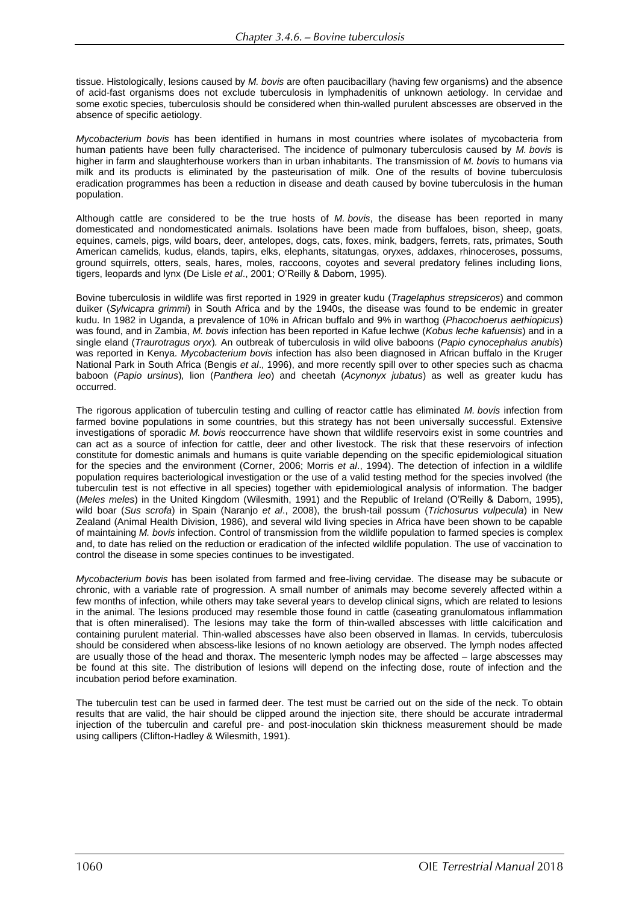tissue. Histologically, lesions caused by *M. bovis* are often paucibacillary (having few organisms) and the absence of acid-fast organisms does not exclude tuberculosis in lymphadenitis of unknown aetiology. In cervidae and some exotic species, tuberculosis should be considered when thin-walled purulent abscesses are observed in the absence of specific aetiology.

*Mycobacterium bovis* has been identified in humans in most countries where isolates of mycobacteria from human patients have been fully characterised. The incidence of pulmonary tuberculosis caused by *M. bovis* is higher in farm and slaughterhouse workers than in urban inhabitants. The transmission of *M. bovis* to humans via milk and its products is eliminated by the pasteurisation of milk. One of the results of bovine tuberculosis eradication programmes has been a reduction in disease and death caused by bovine tuberculosis in the human population.

Although cattle are considered to be the true hosts of *M. bovis*, the disease has been reported in many domesticated and nondomesticated animals. Isolations have been made from buffaloes, bison, sheep, goats, equines, camels, pigs, wild boars, deer, antelopes, dogs, cats, foxes, mink, badgers, ferrets, rats, primates, South American camelids, kudus, elands, tapirs, elks, elephants, sitatungas, oryxes, addaxes, rhinoceroses, possums, ground squirrels, otters, seals, hares, moles, raccoons, coyotes and several predatory felines including lions, tigers, leopards and lynx (De Lisle *et al*., 2001; O'Reilly & Daborn, 1995).

Bovine tuberculosis in wildlife was first reported in 1929 in greater kudu (*Tragelaphus strepsiceros*) and common duiker (*Sylvicapra grimmi*) in South Africa and by the 1940s, the disease was found to be endemic in greater kudu. In 1982 in Uganda, a prevalence of 10% in African buffalo and 9% in warthog (*Phacochoerus aethiopicus*) was found, and in Zambia, *M. bovis* infection has been reported in Kafue lechwe (*Kobus leche kafuensis*) and in a single eland (*Traurotragus oryx*)*.* An outbreak of tuberculosis in wild olive baboons (*Papio cynocephalus anubis*) was reported in Kenya. *Mycobacterium bovis* infection has also been diagnosed in African buffalo in the Kruger National Park in South Africa (Bengis *et al*., 1996), and more recently spill over to other species such as chacma baboon (*Papio ursinus*)*,* lion (*Panthera leo*) and cheetah (*Acynonyx jubatus*) as well as greater kudu has occurred.

The rigorous application of tuberculin testing and culling of reactor cattle has eliminated *M. bovis* infection from farmed bovine populations in some countries, but this strategy has not been universally successful. Extensive investigations of sporadic *M. bovis* reoccurrence have shown that wildlife reservoirs exist in some countries and can act as a source of infection for cattle, deer and other livestock. The risk that these reservoirs of infection constitute for domestic animals and humans is quite variable depending on the specific epidemiological situation for the species and the environment (Corner, 2006; Morris *et al*., 1994). The detection of infection in a wildlife population requires bacteriological investigation or the use of a valid testing method for the species involved (the tuberculin test is not effective in all species) together with epidemiological analysis of information. The badger (*Meles meles*) in the United Kingdom (Wilesmith, 1991) and the Republic of Ireland (O'Reilly & Daborn, 1995), wild boar (*Sus scrofa*) in Spain (Naranjo *et al*., 2008), the brush-tail possum (*Trichosurus vulpecula*) in New Zealand (Animal Health Division, 1986), and several wild living species in Africa have been shown to be capable of maintaining *M. bovis* infection. Control of transmission from the wildlife population to farmed species is complex and, to date has relied on the reduction or eradication of the infected wildlife population. The use of vaccination to control the disease in some species continues to be investigated.

*Mycobacterium bovis* has been isolated from farmed and free-living cervidae. The disease may be subacute or chronic, with a variable rate of progression. A small number of animals may become severely affected within a few months of infection, while others may take several years to develop clinical signs, which are related to lesions in the animal. The lesions produced may resemble those found in cattle (caseating granulomatous inflammation that is often mineralised). The lesions may take the form of thin-walled abscesses with little calcification and containing purulent material. Thin-walled abscesses have also been observed in llamas. In cervids, tuberculosis should be considered when abscess-like lesions of no known aetiology are observed. The lymph nodes affected are usually those of the head and thorax. The mesenteric lymph nodes may be affected – large abscesses may be found at this site. The distribution of lesions will depend on the infecting dose, route of infection and the incubation period before examination.

The tuberculin test can be used in farmed deer. The test must be carried out on the side of the neck. To obtain results that are valid, the hair should be clipped around the injection site, there should be accurate intradermal injection of the tuberculin and careful pre- and post-inoculation skin thickness measurement should be made using callipers (Clifton-Hadley & Wilesmith, 1991).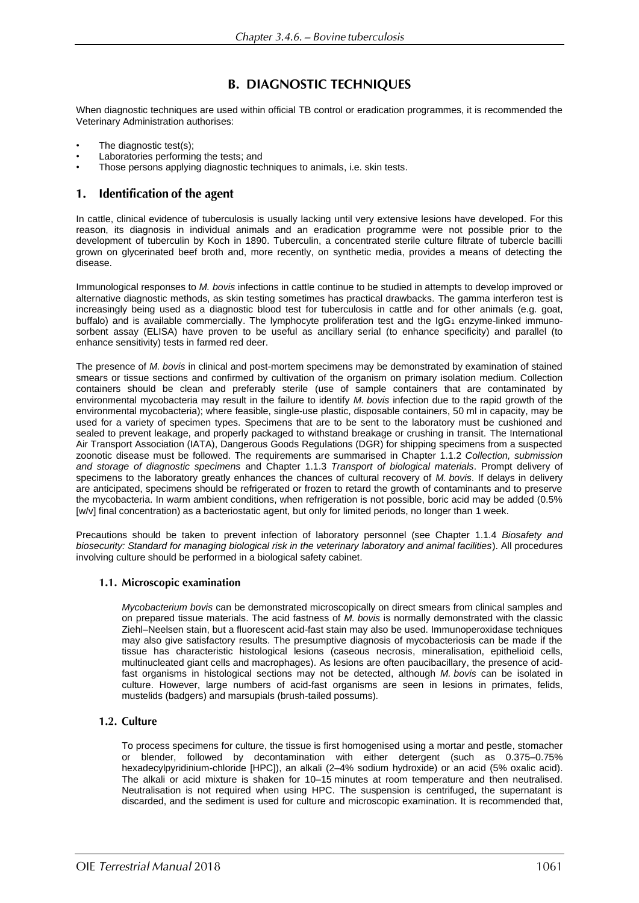# **B. DIAGNOSTIC TECHNIQUES**

When diagnostic techniques are used within official TB control or eradication programmes, it is recommended the Veterinary Administration authorises:

- The diagnostic test(s);
- Laboratories performing the tests; and
- Those persons applying diagnostic techniques to animals, i.e. skin tests.

#### Identification of the agent 1.

In cattle, clinical evidence of tuberculosis is usually lacking until very extensive lesions have developed. For this reason, its diagnosis in individual animals and an eradication programme were not possible prior to the development of tuberculin by Koch in 1890. Tuberculin, a concentrated sterile culture filtrate of tubercle bacilli grown on glycerinated beef broth and, more recently, on synthetic media, provides a means of detecting the disease.

Immunological responses to *M. bovis* infections in cattle continue to be studied in attempts to develop improved or alternative diagnostic methods, as skin testing sometimes has practical drawbacks. The gamma interferon test is increasingly being used as a diagnostic blood test for tuberculosis in cattle and for other animals (e.g. goat, buffalo) and is available commercially. The lymphocyte proliferation test and the IgG1 enzyme-linked immunosorbent assay (ELISA) have proven to be useful as ancillary serial (to enhance specificity) and parallel (to enhance sensitivity) tests in farmed red deer.

The presence of *M. bovis* in clinical and post-mortem specimens may be demonstrated by examination of stained smears or tissue sections and confirmed by cultivation of the organism on primary isolation medium. Collection containers should be clean and preferably sterile (use of sample containers that are contaminated by environmental mycobacteria may result in the failure to identify *M. bovis* infection due to the rapid growth of the environmental mycobacteria); where feasible, single-use plastic, disposable containers, 50 ml in capacity, may be used for a variety of specimen types. Specimens that are to be sent to the laboratory must be cushioned and sealed to prevent leakage, and properly packaged to withstand breakage or crushing in transit. The International Air Transport Association (IATA), Dangerous Goods Regulations (DGR) for shipping specimens from a suspected zoonotic disease must be followed. The requirements are summarised in Chapter 1.1.2 *Collection, submission and storage of diagnostic specimens* and Chapter 1.1.3 *Transport of biological materials*. Prompt delivery of specimens to the laboratory greatly enhances the chances of cultural recovery of *M. bovis*. If delays in delivery are anticipated, specimens should be refrigerated or frozen to retard the growth of contaminants and to preserve the mycobacteria. In warm ambient conditions, when refrigeration is not possible, boric acid may be added (0.5% [w/v] final concentration) as a bacteriostatic agent, but only for limited periods, no longer than 1 week.

Precautions should be taken to prevent infection of laboratory personnel (see Chapter 1.1.4 *Biosafety and biosecurity: Standard for managing biological risk in the veterinary laboratory and animal facilities*). All procedures involving culture should be performed in a biological safety cabinet.

# 1.1. Microscopic examination

*Mycobacterium bovis* can be demonstrated microscopically on direct smears from clinical samples and on prepared tissue materials. The acid fastness of *M. bovis* is normally demonstrated with the classic Ziehl–Neelsen stain, but a fluorescent acid-fast stain may also be used. Immunoperoxidase techniques may also give satisfactory results. The presumptive diagnosis of mycobacteriosis can be made if the tissue has characteristic histological lesions (caseous necrosis, mineralisation, epithelioid cells, multinucleated giant cells and macrophages). As lesions are often paucibacillary, the presence of acidfast organisms in histological sections may not be detected, although *M. bovis* can be isolated in culture. However, large numbers of acid-fast organisms are seen in lesions in primates, felids, mustelids (badgers) and marsupials (brush-tailed possums).

# 1.2. Culture

To process specimens for culture, the tissue is first homogenised using a mortar and pestle, stomacher or blender, followed by decontamination with either detergent (such as 0.375–0.75% hexadecylpyridinium-chloride [HPC]), an alkali (2-4% sodium hydroxide) or an acid (5% oxalic acid). The alkali or acid mixture is shaken for 10–15 minutes at room temperature and then neutralised. Neutralisation is not required when using HPC. The suspension is centrifuged, the supernatant is discarded, and the sediment is used for culture and microscopic examination. It is recommended that,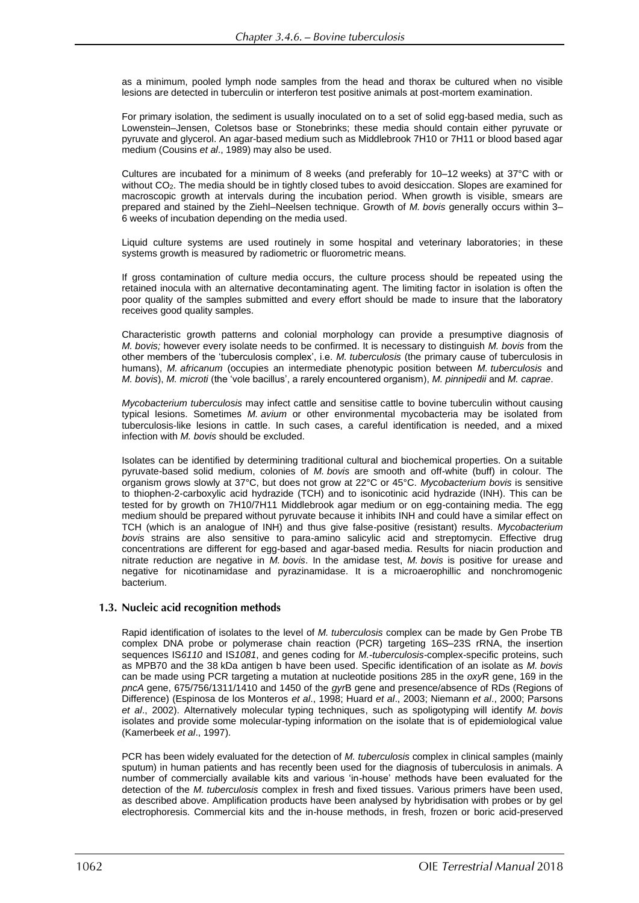as a minimum, pooled lymph node samples from the head and thorax be cultured when no visible lesions are detected in tuberculin or interferon test positive animals at post-mortem examination.

For primary isolation, the sediment is usually inoculated on to a set of solid egg-based media, such as Lowenstein–Jensen, Coletsos base or Stonebrinks; these media should contain either pyruvate or pyruvate and glycerol. An agar-based medium such as Middlebrook 7H10 or 7H11 or blood based agar medium (Cousins *et al*., 1989) may also be used.

Cultures are incubated for a minimum of 8 weeks (and preferably for 10–12 weeks) at 37°C with or without CO<sub>2</sub>. The media should be in tightly closed tubes to avoid desiccation. Slopes are examined for macroscopic growth at intervals during the incubation period. When growth is visible, smears are prepared and stained by the Ziehl–Neelsen technique. Growth of *M. bovis* generally occurs within 3– 6 weeks of incubation depending on the media used.

Liquid culture systems are used routinely in some hospital and veterinary laboratories; in these systems growth is measured by radiometric or fluorometric means.

If gross contamination of culture media occurs, the culture process should be repeated using the retained inocula with an alternative decontaminating agent. The limiting factor in isolation is often the poor quality of the samples submitted and every effort should be made to insure that the laboratory receives good quality samples.

Characteristic growth patterns and colonial morphology can provide a presumptive diagnosis of *M. bovis;* however every isolate needs to be confirmed. It is necessary to distinguish *M. bovis* from the other members of the 'tuberculosis complex', i.e. *M. tuberculosis* (the primary cause of tuberculosis in humans), *M. africanum* (occupies an intermediate phenotypic position between *M. tuberculosis* and *M. bovis*), *M. microti* (the 'vole bacillus', a rarely encountered organism), *M. pinnipedii* and *M. caprae*.

*Mycobacterium tuberculosis* may infect cattle and sensitise cattle to bovine tuberculin without causing typical lesions. Sometimes *M. avium* or other environmental mycobacteria may be isolated from tuberculosis-like lesions in cattle. In such cases, a careful identification is needed, and a mixed infection with *M. bovis* should be excluded.

Isolates can be identified by determining traditional cultural and biochemical properties. On a suitable pyruvate-based solid medium, colonies of *M. bovis* are smooth and off-white (buff) in colour. The organism grows slowly at 37°C, but does not grow at 22°C or 45°C. *Mycobacterium bovis* is sensitive to thiophen-2-carboxylic acid hydrazide (TCH) and to isonicotinic acid hydrazide (INH). This can be tested for by growth on 7H10/7H11 Middlebrook agar medium or on egg-containing media. The egg medium should be prepared without pyruvate because it inhibits INH and could have a similar effect on TCH (which is an analogue of INH) and thus give false-positive (resistant) results. *Mycobacterium bovis* strains are also sensitive to para-amino salicylic acid and streptomycin. Effective drug concentrations are different for egg-based and agar-based media. Results for niacin production and nitrate reduction are negative in *M. bovis*. In the amidase test, *M. bovis* is positive for urease and negative for nicotinamidase and pyrazinamidase. It is a microaerophillic and nonchromogenic bacterium.

### 1.3. Nucleic acid recognition methods

Rapid identification of isolates to the level of *M. tuberculosis* complex can be made by Gen Probe TB complex DNA probe or polymerase chain reaction (PCR) targeting 16S–23S rRNA, the insertion sequences IS*6110* and IS*1081*, and genes coding for *M.-tuberculosis*-complex-specific proteins, such as MPB70 and the 38 kDa antigen b have been used. Specific identification of an isolate as *M. bovis* can be made using PCR targeting a mutation at nucleotide positions 285 in the *oxy*R gene, 169 in the *pncA* gene, 675/756/1311/1410 and 1450 of the *gyr*B gene and presence/absence of RDs (Regions of Difference) (Espinosa de los Monteros *et al*., 1998; Huard *et al*., 2003; Niemann *et al*., 2000; Parsons *et al*., 2002). Alternatively molecular typing techniques, such as spoligotyping will identify *M. bovis* isolates and provide some molecular-typing information on the isolate that is of epidemiological value (Kamerbeek *et al*., 1997).

PCR has been widely evaluated for the detection of *M. tuberculosis* complex in clinical samples (mainly sputum) in human patients and has recently been used for the diagnosis of tuberculosis in animals. A number of commercially available kits and various 'in-house' methods have been evaluated for the detection of the *M. tuberculosis* complex in fresh and fixed tissues. Various primers have been used, as described above. Amplification products have been analysed by hybridisation with probes or by gel electrophoresis. Commercial kits and the in-house methods, in fresh, frozen or boric acid-preserved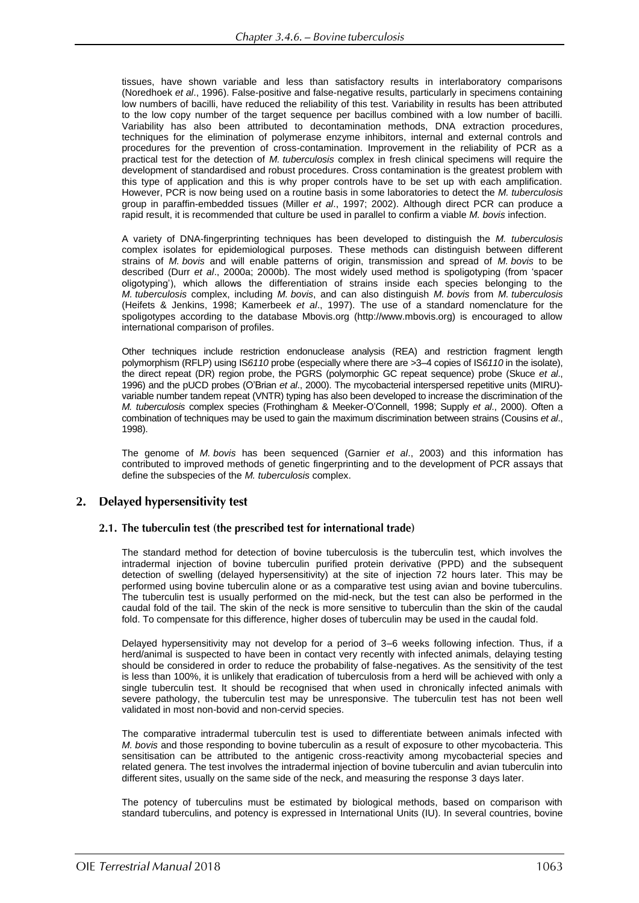tissues, have shown variable and less than satisfactory results in interlaboratory comparisons (Noredhoek *et al*., 1996). False-positive and false-negative results, particularly in specimens containing low numbers of bacilli, have reduced the reliability of this test. Variability in results has been attributed to the low copy number of the target sequence per bacillus combined with a low number of bacilli. Variability has also been attributed to decontamination methods, DNA extraction procedures, techniques for the elimination of polymerase enzyme inhibitors, internal and external controls and procedures for the prevention of cross-contamination. Improvement in the reliability of PCR as a practical test for the detection of *M. tuberculosis* complex in fresh clinical specimens will require the development of standardised and robust procedures. Cross contamination is the greatest problem with this type of application and this is why proper controls have to be set up with each amplification. However, PCR is now being used on a routine basis in some laboratories to detect the *M. tuberculosis* group in paraffin-embedded tissues (Miller *et al*., 1997; 2002). Although direct PCR can produce a rapid result, it is recommended that culture be used in parallel to confirm a viable *M. bovis* infection.

A variety of DNA-fingerprinting techniques has been developed to distinguish the *M. tuberculosis* complex isolates for epidemiological purposes. These methods can distinguish between different strains of *M. bovis* and will enable patterns of origin, transmission and spread of *M. bovis* to be described (Durr *et al*., 2000a; 2000b). The most widely used method is spoligotyping (from 'spacer oligotyping'), which allows the differentiation of strains inside each species belonging to the *M. tuberculosis* complex, including *M. bovis*, and can also distinguish *M. bovis* from *M. tuberculosis* (Heifets & Jenkins, 1998; Kamerbeek *et al*., 1997). The use of a standard nomenclature for the spoligotypes according to the database Mbovis.org (http://www.mbovis.org) is encouraged to allow international comparison of profiles.

Other techniques include restriction endonuclease analysis (REA) and restriction fragment length polymorphism (RFLP) using IS*6110* probe (especially where there are >3–4 copies of IS*6110* in the isolate), the direct repeat (DR) region probe, the PGRS (polymorphic GC repeat sequence) probe (Skuce *et al*., 1996) and the pUCD probes (O'Brian *et al*., 2000). The mycobacterial interspersed repetitive units (MIRU) variable number tandem repeat (VNTR) typing has also been developed to increase the discrimination of the *M. tuberculosis* complex species (Frothingham & Meeker-O'Connell, 1998; Supply *et al*., 2000). Often a combination of techniques may be used to gain the maximum discrimination between strains (Cousins *et al*., 1998).

The genome of *M. bovis* has been sequenced (Garnier *et al*., 2003) and this information has contributed to improved methods of genetic fingerprinting and to the development of PCR assays that define the subspecies of the *M. tuberculosis* complex.

# 2. Delayed hypersensitivity test

### 2.1. The tuberculin test (the prescribed test for international trade)

The standard method for detection of bovine tuberculosis is the tuberculin test, which involves the intradermal injection of bovine tuberculin purified protein derivative (PPD) and the subsequent detection of swelling (delayed hypersensitivity) at the site of injection 72 hours later. This may be performed using bovine tuberculin alone or as a comparative test using avian and bovine tuberculins. The tuberculin test is usually performed on the mid-neck, but the test can also be performed in the caudal fold of the tail. The skin of the neck is more sensitive to tuberculin than the skin of the caudal fold. To compensate for this difference, higher doses of tuberculin may be used in the caudal fold.

Delayed hypersensitivity may not develop for a period of 3–6 weeks following infection. Thus, if a herd/animal is suspected to have been in contact very recently with infected animals, delaying testing should be considered in order to reduce the probability of false-negatives. As the sensitivity of the test is less than 100%, it is unlikely that eradication of tuberculosis from a herd will be achieved with only a single tuberculin test. It should be recognised that when used in chronically infected animals with severe pathology, the tuberculin test may be unresponsive. The tuberculin test has not been well validated in most non-bovid and non-cervid species.

The comparative intradermal tuberculin test is used to differentiate between animals infected with *M. bovis* and those responding to bovine tuberculin as a result of exposure to other mycobacteria. This sensitisation can be attributed to the antigenic cross-reactivity among mycobacterial species and related genera. The test involves the intradermal injection of bovine tuberculin and avian tuberculin into different sites, usually on the same side of the neck, and measuring the response 3 days later.

The potency of tuberculins must be estimated by biological methods, based on comparison with standard tuberculins, and potency is expressed in International Units (IU). In several countries, bovine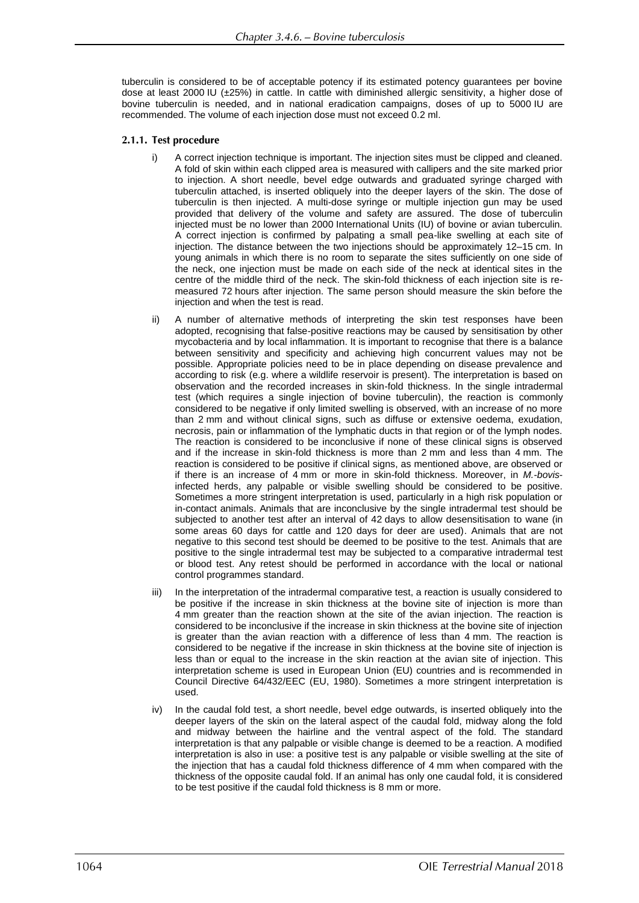tuberculin is considered to be of acceptable potency if its estimated potency guarantees per bovine dose at least 2000 IU (±25%) in cattle. In cattle with diminished allergic sensitivity, a higher dose of bovine tuberculin is needed, and in national eradication campaigns, doses of up to 5000 IU are recommended. The volume of each injection dose must not exceed 0.2 ml.

### 2.1.1. Test procedure

- i) A correct injection technique is important. The injection sites must be clipped and cleaned. A fold of skin within each clipped area is measured with callipers and the site marked prior to injection. A short needle, bevel edge outwards and graduated syringe charged with tuberculin attached, is inserted obliquely into the deeper layers of the skin. The dose of tuberculin is then injected. A multi-dose syringe or multiple injection gun may be used provided that delivery of the volume and safety are assured. The dose of tuberculin injected must be no lower than 2000 International Units (IU) of bovine or avian tuberculin. A correct injection is confirmed by palpating a small pea-like swelling at each site of injection. The distance between the two injections should be approximately 12–15 cm. In young animals in which there is no room to separate the sites sufficiently on one side of the neck, one injection must be made on each side of the neck at identical sites in the centre of the middle third of the neck. The skin-fold thickness of each injection site is remeasured 72 hours after injection. The same person should measure the skin before the injection and when the test is read.
- ii) A number of alternative methods of interpreting the skin test responses have been adopted, recognising that false-positive reactions may be caused by sensitisation by other mycobacteria and by local inflammation. It is important to recognise that there is a balance between sensitivity and specificity and achieving high concurrent values may not be possible. Appropriate policies need to be in place depending on disease prevalence and according to risk (e.g. where a wildlife reservoir is present). The interpretation is based on observation and the recorded increases in skin-fold thickness. In the single intradermal test (which requires a single injection of bovine tuberculin), the reaction is commonly considered to be negative if only limited swelling is observed, with an increase of no more than 2 mm and without clinical signs, such as diffuse or extensive oedema, exudation, necrosis, pain or inflammation of the lymphatic ducts in that region or of the lymph nodes. The reaction is considered to be inconclusive if none of these clinical signs is observed and if the increase in skin-fold thickness is more than 2 mm and less than 4 mm. The reaction is considered to be positive if clinical signs, as mentioned above, are observed or if there is an increase of 4 mm or more in skin-fold thickness. Moreover, in *M.-bovis*infected herds, any palpable or visible swelling should be considered to be positive. Sometimes a more stringent interpretation is used, particularly in a high risk population or in-contact animals. Animals that are inconclusive by the single intradermal test should be subjected to another test after an interval of 42 days to allow desensitisation to wane (in some areas 60 days for cattle and 120 days for deer are used). Animals that are not negative to this second test should be deemed to be positive to the test. Animals that are positive to the single intradermal test may be subjected to a comparative intradermal test or blood test. Any retest should be performed in accordance with the local or national control programmes standard.
- iii) In the interpretation of the intradermal comparative test, a reaction is usually considered to be positive if the increase in skin thickness at the bovine site of injection is more than 4 mm greater than the reaction shown at the site of the avian injection. The reaction is considered to be inconclusive if the increase in skin thickness at the bovine site of injection is greater than the avian reaction with a difference of less than 4 mm. The reaction is considered to be negative if the increase in skin thickness at the bovine site of injection is less than or equal to the increase in the skin reaction at the avian site of injection. This interpretation scheme is used in European Union (EU) countries and is recommended in Council Directive 64/432/EEC (EU, 1980). Sometimes a more stringent interpretation is used.
- iv) In the caudal fold test, a short needle, bevel edge outwards, is inserted obliquely into the deeper layers of the skin on the lateral aspect of the caudal fold, midway along the fold and midway between the hairline and the ventral aspect of the fold. The standard interpretation is that any palpable or visible change is deemed to be a reaction. A modified interpretation is also in use: a positive test is any palpable or visible swelling at the site of the injection that has a caudal fold thickness difference of 4 mm when compared with the thickness of the opposite caudal fold. If an animal has only one caudal fold, it is considered to be test positive if the caudal fold thickness is 8 mm or more.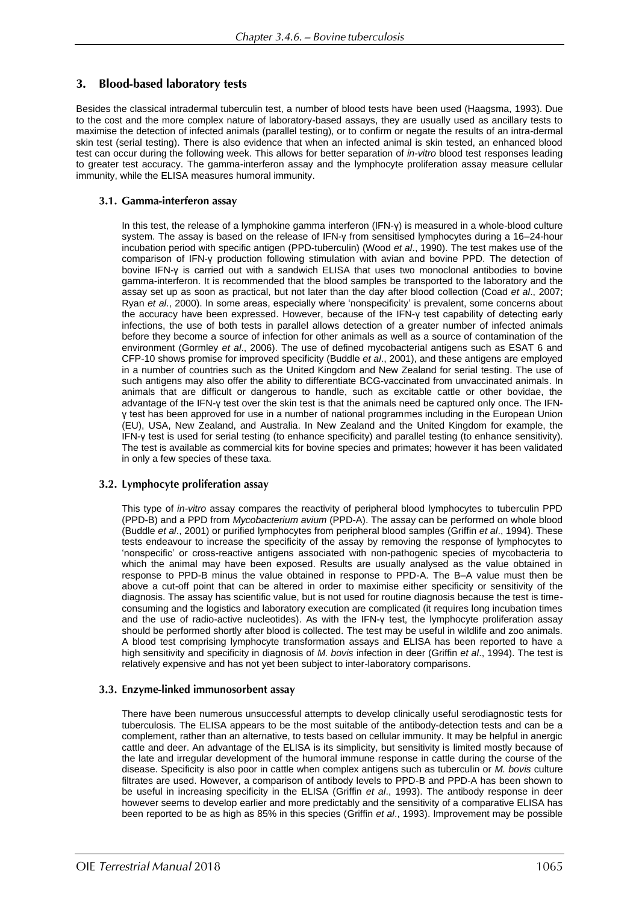#### 3. **Blood-based laboratory tests**

Besides the classical intradermal tuberculin test, a number of blood tests have been used (Haagsma, 1993). Due to the cost and the more complex nature of laboratory-based assays, they are usually used as ancillary tests to maximise the detection of infected animals (parallel testing), or to confirm or negate the results of an intra-dermal skin test (serial testing). There is also evidence that when an infected animal is skin tested, an enhanced blood test can occur during the following week. This allows for better separation of *in-vitro* blood test responses leading to greater test accuracy. The gamma-interferon assay and the lymphocyte proliferation assay measure cellular immunity, while the ELISA measures humoral immunity.

# 3.1. Gamma-interferon assay

In this test, the release of a lymphokine gamma interferon (IFN-γ) is measured in a whole-blood culture system. The assay is based on the release of IFN-γ from sensitised lymphocytes during a 16–24-hour incubation period with specific antigen (PPD-tuberculin) (Wood *et al*., 1990). The test makes use of the comparison of IFN-γ production following stimulation with avian and bovine PPD. The detection of bovine IFN-γ is carried out with a sandwich ELISA that uses two monoclonal antibodies to bovine gamma-interferon. It is recommended that the blood samples be transported to the laboratory and the assay set up as soon as practical, but not later than the day after blood collection (Coad *et al*., 2007; Ryan *et al*., 2000). In some areas, especially where 'nonspecificity' is prevalent, some concerns about the accuracy have been expressed. However, because of the IFN-γ test capability of detecting early infections, the use of both tests in parallel allows detection of a greater number of infected animals before they become a source of infection for other animals as well as a source of contamination of the environment (Gormley *et al*., 2006). The use of defined mycobacterial antigens such as ESAT 6 and CFP-10 shows promise for improved specificity (Buddle *et al*., 2001), and these antigens are employed in a number of countries such as the United Kingdom and New Zealand for serial testing. The use of such antigens may also offer the ability to differentiate BCG-vaccinated from unvaccinated animals. In animals that are difficult or dangerous to handle, such as excitable cattle or other bovidae, the advantage of the IFN-γ test over the skin test is that the animals need be captured only once. The IFNγ test has been approved for use in a number of national programmes including in the European Union (EU), USA, New Zealand, and Australia. In New Zealand and the United Kingdom for example, the IFN-γ test is used for serial testing (to enhance specificity) and parallel testing (to enhance sensitivity). The test is available as commercial kits for bovine species and primates; however it has been validated in only a few species of these taxa.

# 3.2. Lymphocyte proliferation assay

This type of *in-vitro* assay compares the reactivity of peripheral blood lymphocytes to tuberculin PPD (PPD-B) and a PPD from *Mycobacterium avium* (PPD-A). The assay can be performed on whole blood (Buddle *et al*., 2001) or purified lymphocytes from peripheral blood samples (Griffin *et al*., 1994). These tests endeavour to increase the specificity of the assay by removing the response of lymphocytes to 'nonspecific' or cross-reactive antigens associated with non-pathogenic species of mycobacteria to which the animal may have been exposed. Results are usually analysed as the value obtained in response to PPD-B minus the value obtained in response to PPD-A. The B–A value must then be above a cut-off point that can be altered in order to maximise either specificity or sensitivity of the diagnosis. The assay has scientific value, but is not used for routine diagnosis because the test is timeconsuming and the logistics and laboratory execution are complicated (it requires long incubation times and the use of radio-active nucleotides). As with the IFN-γ test, the lymphocyte proliferation assay should be performed shortly after blood is collected. The test may be useful in wildlife and zoo animals. A blood test comprising lymphocyte transformation assays and ELISA has been reported to have a high sensitivity and specificity in diagnosis of *M. bovis* infection in deer (Griffin *et al*., 1994). The test is relatively expensive and has not yet been subject to inter-laboratory comparisons.

# 3.3. Enzyme-linked immunosorbent assay

There have been numerous unsuccessful attempts to develop clinically useful serodiagnostic tests for tuberculosis. The ELISA appears to be the most suitable of the antibody-detection tests and can be a complement, rather than an alternative, to tests based on cellular immunity. It may be helpful in anergic cattle and deer. An advantage of the ELISA is its simplicity, but sensitivity is limited mostly because of the late and irregular development of the humoral immune response in cattle during the course of the disease. Specificity is also poor in cattle when complex antigens such as tuberculin or *M. bovis* culture filtrates are used. However, a comparison of antibody levels to PPD-B and PPD-A has been shown to be useful in increasing specificity in the ELISA (Griffin *et al*., 1993). The antibody response in deer however seems to develop earlier and more predictably and the sensitivity of a comparative ELISA has been reported to be as high as 85% in this species (Griffin *et al*., 1993). Improvement may be possible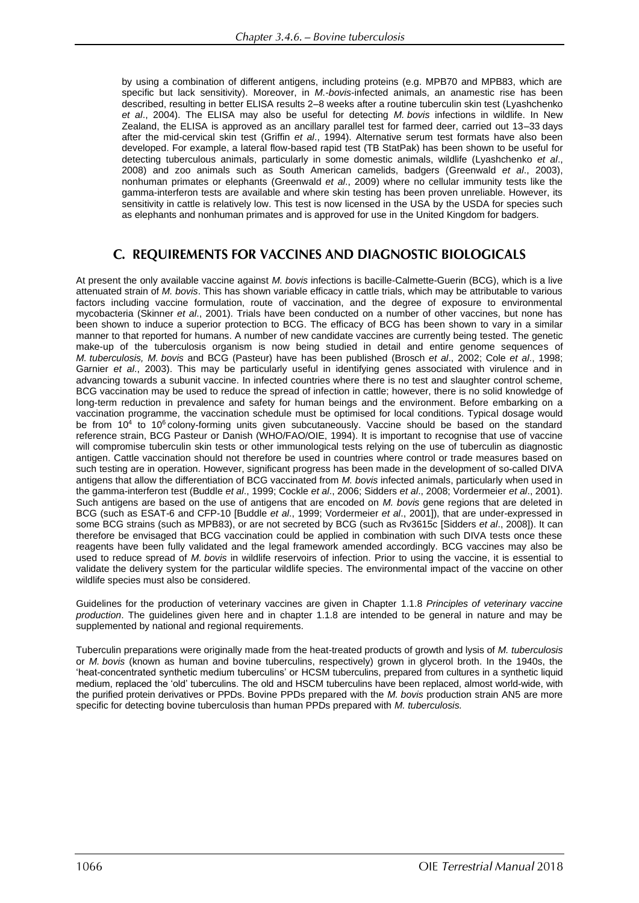by using a combination of different antigens, including proteins (e.g. MPB70 and MPB83, which are specific but lack sensitivity). Moreover, in *M.-bovis*-infected animals, an anamestic rise has been described, resulting in better ELISA results 2–8 weeks after a routine tuberculin skin test (Lyashchenko *et al*., 2004). The ELISA may also be useful for detecting *M. bovis* infections in wildlife. In New Zealand, the ELISA is approved as an ancillary parallel test for farmed deer, carried out 13–33 days after the mid-cervical skin test (Griffin *et al*., 1994). Alternative serum test formats have also been developed. For example, a lateral flow-based rapid test (TB StatPak) has been shown to be useful for detecting tuberculous animals, particularly in some domestic animals, wildlife (Lyashchenko *et al*., 2008) and zoo animals such as South American camelids, badgers (Greenwald *et al*., 2003), nonhuman primates or elephants (Greenwald *et al*., 2009) where no cellular immunity tests like the gamma-interferon tests are available and where skin testing has been proven unreliable. However, its sensitivity in cattle is relatively low. This test is now licensed in the USA by the USDA for species such as elephants and nonhuman primates and is approved for use in the United Kingdom for badgers.

# C. REQUIREMENTS FOR VACCINES AND DIAGNOSTIC BIOLOGICALS

At present the only available vaccine against *M. bovis* infections is bacille-Calmette-Guerin (BCG), which is a live attenuated strain of *M. bovis*. This has shown variable efficacy in cattle trials, which may be attributable to various factors including vaccine formulation, route of vaccination, and the degree of exposure to environmental mycobacteria (Skinner *et al*., 2001). Trials have been conducted on a number of other vaccines, but none has been shown to induce a superior protection to BCG. The efficacy of BCG has been shown to vary in a similar manner to that reported for humans. A number of new candidate vaccines are currently being tested. The genetic make-up of the tuberculosis organism is now being studied in detail and entire genome sequences of *M. tuberculosis, M. bovis* and BCG (Pasteur) have has been published (Brosch *et al*., 2002; Cole *et al*., 1998; Garnier *et al*., 2003). This may be particularly useful in identifying genes associated with virulence and in advancing towards a subunit vaccine. In infected countries where there is no test and slaughter control scheme, BCG vaccination may be used to reduce the spread of infection in cattle; however, there is no solid knowledge of long-term reduction in prevalence and safety for human beings and the environment. Before embarking on a vaccination programme, the vaccination schedule must be optimised for local conditions. Typical dosage would be from 10<sup>4</sup> to 10<sup>6</sup> colony-forming units given subcutaneously. Vaccine should be based on the standard reference strain, BCG Pasteur or Danish (WHO/FAO/OIE, 1994). It is important to recognise that use of vaccine will compromise tuberculin skin tests or other immunological tests relying on the use of tuberculin as diagnostic antigen. Cattle vaccination should not therefore be used in countries where control or trade measures based on such testing are in operation. However, significant progress has been made in the development of so-called DIVA antigens that allow the differentiation of BCG vaccinated from *M. bovis* infected animals, particularly when used in the gamma-interferon test (Buddle *et al*., 1999; Cockle *et al*., 2006; Sidders *et al*., 2008; Vordermeier *et al*., 2001). Such antigens are based on the use of antigens that are encoded on *M. bovis* gene regions that are deleted in BCG (such as ESAT-6 and CFP-10 [Buddle *et al*., 1999; Vordermeier *et al*., 2001]), that are under-expressed in some BCG strains (such as MPB83), or are not secreted by BCG (such as Rv3615c [Sidders *et al*., 2008]). It can therefore be envisaged that BCG vaccination could be applied in combination with such DIVA tests once these reagents have been fully validated and the legal framework amended accordingly. BCG vaccines may also be used to reduce spread of *M. bovis* in wildlife reservoirs of infection. Prior to using the vaccine, it is essential to validate the delivery system for the particular wildlife species. The environmental impact of the vaccine on other wildlife species must also be considered.

Guidelines for the production of veterinary vaccines are given in Chapter 1.1.8 *Principles of veterinary vaccine production*. The guidelines given here and in chapter 1.1.8 are intended to be general in nature and may be supplemented by national and regional requirements.

Tuberculin preparations were originally made from the heat-treated products of growth and lysis of *M. tuberculosis* or *M. bovis* (known as human and bovine tuberculins, respectively) grown in glycerol broth. In the 1940s, the 'heat-concentrated synthetic medium tuberculins' or HCSM tuberculins, prepared from cultures in a synthetic liquid medium, replaced the 'old' tuberculins. The old and HSCM tuberculins have been replaced, almost world-wide, with the purified protein derivatives or PPDs. Bovine PPDs prepared with the *M. bovis* production strain AN5 are more specific for detecting bovine tuberculosis than human PPDs prepared with *M. tuberculosis.*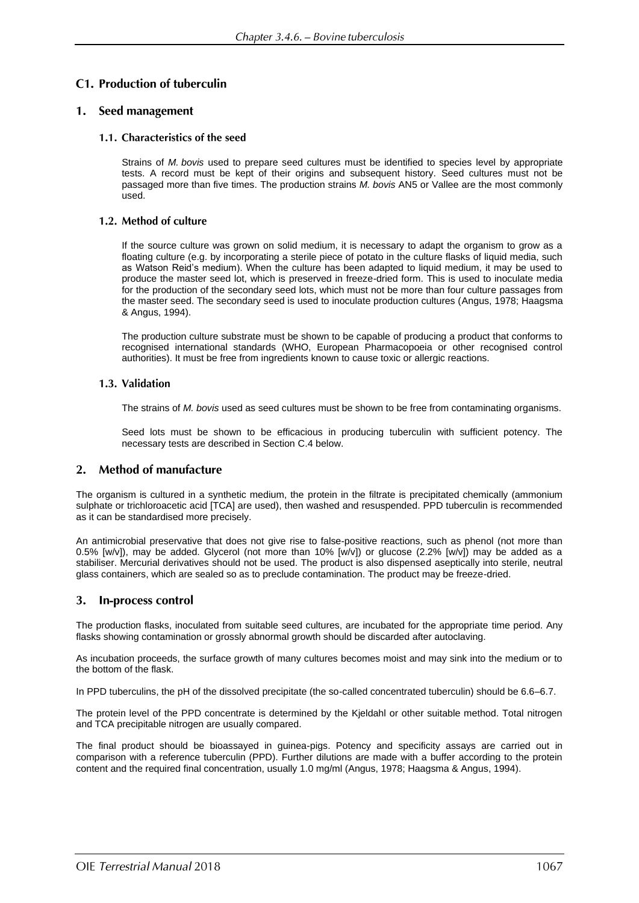# **C1. Production of tuberculin**

# 1. Seed management

### 1.1. Characteristics of the seed

Strains of *M. bovis* used to prepare seed cultures must be identified to species level by appropriate tests. A record must be kept of their origins and subsequent history. Seed cultures must not be passaged more than five times. The production strains *M. bovis* AN5 or Vallee are the most commonly used.

### 1.2. Method of culture

If the source culture was grown on solid medium, it is necessary to adapt the organism to grow as a floating culture (e.g. by incorporating a sterile piece of potato in the culture flasks of liquid media, such as Watson Reid's medium). When the culture has been adapted to liquid medium, it may be used to produce the master seed lot, which is preserved in freeze-dried form. This is used to inoculate media for the production of the secondary seed lots, which must not be more than four culture passages from the master seed. The secondary seed is used to inoculate production cultures (Angus, 1978; Haagsma & Angus, 1994).

The production culture substrate must be shown to be capable of producing a product that conforms to recognised international standards (WHO, European Pharmacopoeia or other recognised control authorities). It must be free from ingredients known to cause toxic or allergic reactions.

### 1.3. Validation

The strains of *M. bovis* used as seed cultures must be shown to be free from contaminating organisms.

Seed lots must be shown to be efficacious in producing tuberculin with sufficient potency. The necessary tests are described in Section C.4 below.

#### **Method of manufacture**  $2.$

The organism is cultured in a synthetic medium, the protein in the filtrate is precipitated chemically (ammonium sulphate or trichloroacetic acid [TCA] are used), then washed and resuspended. PPD tuberculin is recommended as it can be standardised more precisely.

An antimicrobial preservative that does not give rise to false-positive reactions, such as phenol (not more than 0.5% [w/v]), may be added. Glycerol (not more than 10% [w/v]) or glucose (2.2% [w/v]) may be added as a stabiliser. Mercurial derivatives should not be used. The product is also dispensed aseptically into sterile, neutral glass containers, which are sealed so as to preclude contamination. The product may be freeze-dried.

#### In-process control 3.

The production flasks, inoculated from suitable seed cultures, are incubated for the appropriate time period. Any flasks showing contamination or grossly abnormal growth should be discarded after autoclaving.

As incubation proceeds, the surface growth of many cultures becomes moist and may sink into the medium or to the bottom of the flask.

In PPD tuberculins, the pH of the dissolved precipitate (the so-called concentrated tuberculin) should be 6.6–6.7.

The protein level of the PPD concentrate is determined by the Kjeldahl or other suitable method. Total nitrogen and TCA precipitable nitrogen are usually compared.

The final product should be bioassayed in guinea-pigs. Potency and specificity assays are carried out in comparison with a reference tuberculin (PPD). Further dilutions are made with a buffer according to the protein content and the required final concentration, usually 1.0 mg/ml (Angus, 1978; Haagsma & Angus, 1994).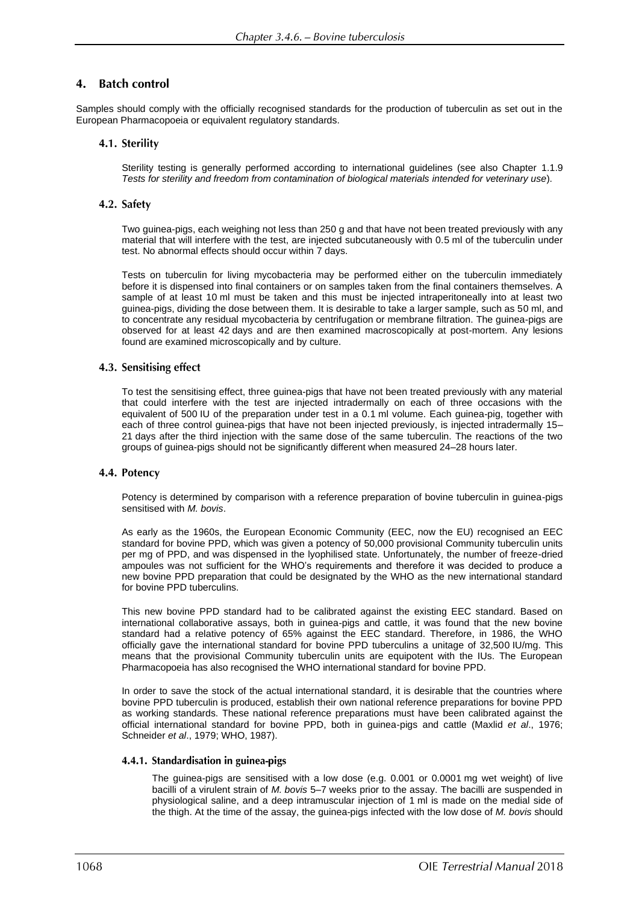#### **Batch control**  $\mathbf{4}$ .

Samples should comply with the officially recognised standards for the production of tuberculin as set out in the European Pharmacopoeia or equivalent regulatory standards.

### 4.1. Sterility

Sterility testing is generally performed according to international guidelines (see also Chapter 1.1.9 *Tests for sterility and freedom from contamination of biological materials intended for veterinary use*).

### 4.2. Safety

Two guinea-pigs, each weighing not less than 250 g and that have not been treated previously with any material that will interfere with the test, are injected subcutaneously with 0.5 ml of the tuberculin under test. No abnormal effects should occur within 7 days.

Tests on tuberculin for living mycobacteria may be performed either on the tuberculin immediately before it is dispensed into final containers or on samples taken from the final containers themselves. A sample of at least 10 ml must be taken and this must be injected intraperitoneally into at least two guinea-pigs, dividing the dose between them. It is desirable to take a larger sample, such as 50 ml, and to concentrate any residual mycobacteria by centrifugation or membrane filtration. The guinea-pigs are observed for at least 42 days and are then examined macroscopically at post-mortem. Any lesions found are examined microscopically and by culture.

### 4.3. Sensitising effect

To test the sensitising effect, three guinea-pigs that have not been treated previously with any material that could interfere with the test are injected intradermally on each of three occasions with the equivalent of 500 IU of the preparation under test in a 0.1 ml volume. Each guinea-pig, together with each of three control guinea-pigs that have not been injected previously, is injected intradermally 15– 21 days after the third injection with the same dose of the same tuberculin. The reactions of the two groups of guinea-pigs should not be significantly different when measured 24–28 hours later.

### 4.4. Potency

Potency is determined by comparison with a reference preparation of bovine tuberculin in guinea-pigs sensitised with *M. bovis*.

As early as the 1960s, the European Economic Community (EEC, now the EU) recognised an EEC standard for bovine PPD, which was given a potency of 50,000 provisional Community tuberculin units per mg of PPD, and was dispensed in the lyophilised state. Unfortunately, the number of freeze-dried ampoules was not sufficient for the WHO's requirements and therefore it was decided to produce a new bovine PPD preparation that could be designated by the WHO as the new international standard for bovine PPD tuberculins.

This new bovine PPD standard had to be calibrated against the existing EEC standard. Based on international collaborative assays, both in guinea-pigs and cattle, it was found that the new bovine standard had a relative potency of 65% against the EEC standard. Therefore, in 1986, the WHO officially gave the international standard for bovine PPD tuberculins a unitage of 32,500 IU/mg. This means that the provisional Community tuberculin units are equipotent with the IUs. The European Pharmacopoeia has also recognised the WHO international standard for bovine PPD.

In order to save the stock of the actual international standard, it is desirable that the countries where bovine PPD tuberculin is produced, establish their own national reference preparations for bovine PPD as working standards. These national reference preparations must have been calibrated against the official international standard for bovine PPD, both in guinea-pigs and cattle (Maxlid *et al*., 1976; Schneider *et al*., 1979; WHO, 1987).

### 4.4.1. Standardisation in guinea-pigs

The guinea-pigs are sensitised with a low dose (e.g. 0.001 or 0.0001 mg wet weight) of live bacilli of a virulent strain of *M. bovis* 5–7 weeks prior to the assay. The bacilli are suspended in physiological saline, and a deep intramuscular injection of 1 ml is made on the medial side of the thigh. At the time of the assay, the guinea-pigs infected with the low dose of *M. bovis* should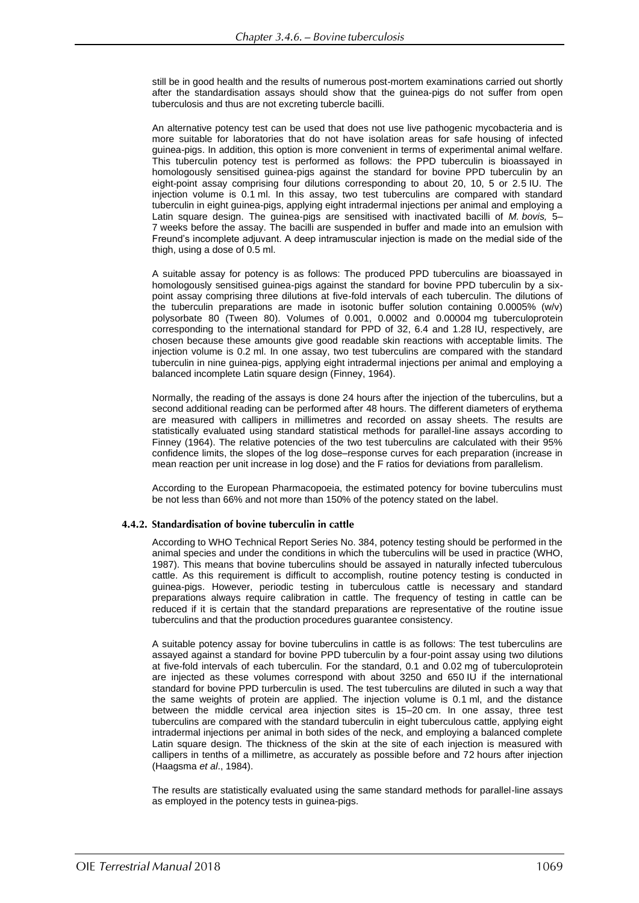still be in good health and the results of numerous post-mortem examinations carried out shortly after the standardisation assays should show that the guinea-pigs do not suffer from open tuberculosis and thus are not excreting tubercle bacilli.

An alternative potency test can be used that does not use live pathogenic mycobacteria and is more suitable for laboratories that do not have isolation areas for safe housing of infected guinea-pigs. In addition, this option is more convenient in terms of experimental animal welfare. This tuberculin potency test is performed as follows: the PPD tuberculin is bioassayed in homologously sensitised guinea-pigs against the standard for bovine PPD tuberculin by an eight-point assay comprising four dilutions corresponding to about 20, 10, 5 or 2.5 IU. The injection volume is 0.1 ml. In this assay, two test tuberculins are compared with standard tuberculin in eight guinea-pigs, applying eight intradermal injections per animal and employing a Latin square design. The guinea-pigs are sensitised with inactivated bacilli of *M. bovis,* 5– 7 weeks before the assay. The bacilli are suspended in buffer and made into an emulsion with Freund's incomplete adjuvant. A deep intramuscular injection is made on the medial side of the thigh, using a dose of 0.5 ml.

A suitable assay for potency is as follows: The produced PPD tuberculins are bioassayed in homologously sensitised guinea-pigs against the standard for bovine PPD tuberculin by a sixpoint assay comprising three dilutions at five-fold intervals of each tuberculin. The dilutions of the tuberculin preparations are made in isotonic buffer solution containing 0.0005% (w/v) polysorbate 80 (Tween 80). Volumes of 0.001, 0.0002 and 0.00004 mg tuberculoprotein corresponding to the international standard for PPD of 32, 6.4 and 1.28 IU, respectively, are chosen because these amounts give good readable skin reactions with acceptable limits. The injection volume is 0.2 ml. In one assay, two test tuberculins are compared with the standard tuberculin in nine guinea-pigs, applying eight intradermal injections per animal and employing a balanced incomplete Latin square design (Finney, 1964).

Normally, the reading of the assays is done 24 hours after the injection of the tuberculins, but a second additional reading can be performed after 48 hours. The different diameters of erythema are measured with callipers in millimetres and recorded on assay sheets. The results are statistically evaluated using standard statistical methods for parallel-line assays according to Finney (1964). The relative potencies of the two test tuberculins are calculated with their 95% confidence limits, the slopes of the log dose–response curves for each preparation (increase in mean reaction per unit increase in log dose) and the F ratios for deviations from parallelism.

According to the European Pharmacopoeia, the estimated potency for bovine tuberculins must be not less than 66% and not more than 150% of the potency stated on the label.

### 4.4.2. Standardisation of bovine tuberculin in cattle

According to WHO Technical Report Series No. 384, potency testing should be performed in the animal species and under the conditions in which the tuberculins will be used in practice (WHO, 1987). This means that bovine tuberculins should be assayed in naturally infected tuberculous cattle. As this requirement is difficult to accomplish, routine potency testing is conducted in guinea-pigs. However, periodic testing in tuberculous cattle is necessary and standard preparations always require calibration in cattle. The frequency of testing in cattle can be reduced if it is certain that the standard preparations are representative of the routine issue tuberculins and that the production procedures guarantee consistency.

A suitable potency assay for bovine tuberculins in cattle is as follows: The test tuberculins are assayed against a standard for bovine PPD tuberculin by a four-point assay using two dilutions at five-fold intervals of each tuberculin. For the standard, 0.1 and 0.02 mg of tuberculoprotein are injected as these volumes correspond with about 3250 and 650 IU if the international standard for bovine PPD turberculin is used. The test tuberculins are diluted in such a way that the same weights of protein are applied. The injection volume is 0.1 ml, and the distance between the middle cervical area injection sites is 15–20 cm. In one assay, three test tuberculins are compared with the standard tuberculin in eight tuberculous cattle, applying eight intradermal injections per animal in both sides of the neck, and employing a balanced complete Latin square design. The thickness of the skin at the site of each injection is measured with callipers in tenths of a millimetre, as accurately as possible before and 72 hours after injection (Haagsma *et al*., 1984).

The results are statistically evaluated using the same standard methods for parallel-line assays as employed in the potency tests in guinea-pigs.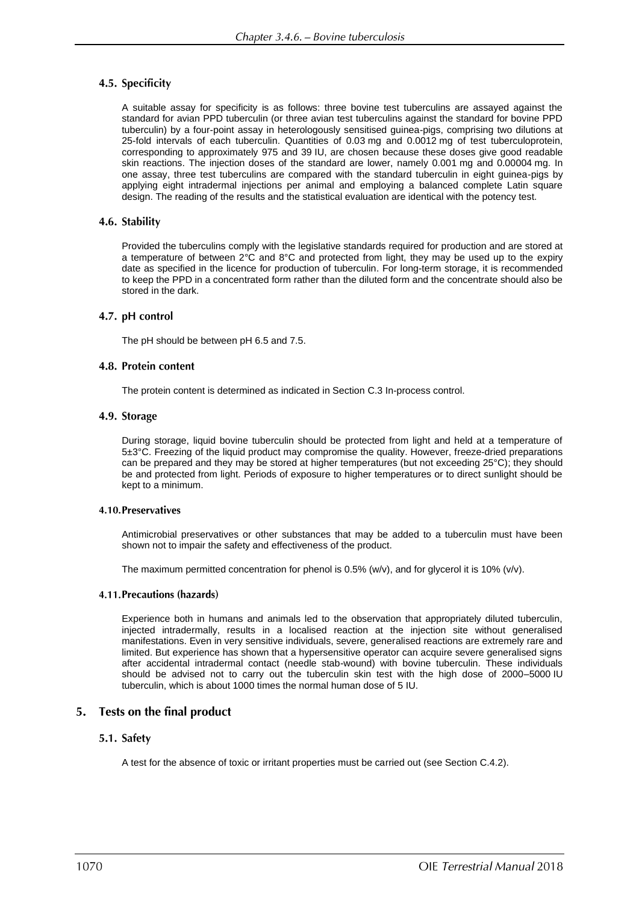# 4.5. Specificity

A suitable assay for specificity is as follows: three bovine test tuberculins are assayed against the standard for avian PPD tuberculin (or three avian test tuberculins against the standard for bovine PPD tuberculin) by a four-point assay in heterologously sensitised guinea-pigs, comprising two dilutions at 25-fold intervals of each tuberculin. Quantities of 0.03 mg and 0.0012 mg of test tuberculoprotein, corresponding to approximately 975 and 39 IU, are chosen because these doses give good readable skin reactions. The injection doses of the standard are lower, namely 0.001 mg and 0.00004 mg. In one assay, three test tuberculins are compared with the standard tuberculin in eight guinea-pigs by applying eight intradermal injections per animal and employing a balanced complete Latin square design. The reading of the results and the statistical evaluation are identical with the potency test.

# 4.6. Stability

Provided the tuberculins comply with the legislative standards required for production and are stored at a temperature of between 2°C and 8°C and protected from light, they may be used up to the expiry date as specified in the licence for production of tuberculin. For long-term storage, it is recommended to keep the PPD in a concentrated form rather than the diluted form and the concentrate should also be stored in the dark.

# 4.7. pH control

The pH should be between pH 6.5 and 7.5.

### 4.8. Protein content

The protein content is determined as indicated in Section C.3 In-process control.

### 4.9. Storage

During storage, liquid bovine tuberculin should be protected from light and held at a temperature of 5±3°C. Freezing of the liquid product may compromise the quality. However, freeze-dried preparations can be prepared and they may be stored at higher temperatures (but not exceeding 25°C); they should be and protected from light. Periods of exposure to higher temperatures or to direct sunlight should be kept to a minimum.

### 4.10. Preservatives

Antimicrobial preservatives or other substances that may be added to a tuberculin must have been shown not to impair the safety and effectiveness of the product.

The maximum permitted concentration for phenol is 0.5% (w/v), and for glycerol it is 10% (v/v).

### 4.11. Precautions (hazards)

Experience both in humans and animals led to the observation that appropriately diluted tuberculin, injected intradermally, results in a localised reaction at the injection site without generalised manifestations. Even in very sensitive individuals, severe, generalised reactions are extremely rare and limited. But experience has shown that a hypersensitive operator can acquire severe generalised signs after accidental intradermal contact (needle stab-wound) with bovine tuberculin. These individuals should be advised not to carry out the tuberculin skin test with the high dose of 2000–5000 IU tuberculin, which is about 1000 times the normal human dose of 5 IU.

# 5. Tests on the final product

# 5.1. Safety

A test for the absence of toxic or irritant properties must be carried out (see Section C.4.2).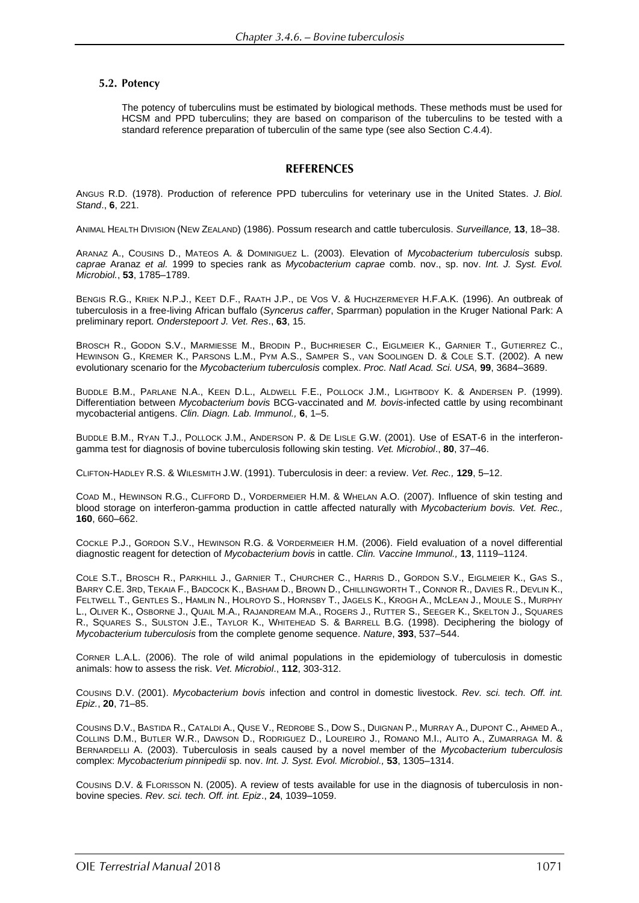### 5.2. Potency

The potency of tuberculins must be estimated by biological methods. These methods must be used for HCSM and PPD tuberculins; they are based on comparison of the tuberculins to be tested with a standard reference preparation of tuberculin of the same type (see also Section C.4.4).

# **REFERENCES**

ANGUS R.D. (1978). Production of reference PPD tuberculins for veterinary use in the United States. *J. Biol. Stand*., **6**, 221.

ANIMAL HEALTH DIVISION (NEW ZEALAND) (1986). Possum research and cattle tuberculosis. *Surveillance,* **13**, 18–38.

ARANAZ A., COUSINS D., MATEOS A. & DOMINIGUEZ L. (2003). Elevation of *Mycobacterium tuberculosis* subsp. *caprae* Aranaz *et al.* 1999 to species rank as *Mycobacterium caprae* comb. nov., sp. nov. *Int. J. Syst. Evol. Microbiol.*, **53**, 1785–1789.

BENGIS R.G., KRIEK N.P.J., KEET D.F., RAATH J.P., DE VOS V. & HUCHZERMEYER H.F.A.K. (1996). An outbreak of tuberculosis in a free-living African buffalo (*Syncerus caffer*, Sparrman) population in the Kruger National Park: A preliminary report. *Onderstepoort J. Vet. Res*., **63**, 15.

BROSCH R., GODON S.V., MARMIESSE M., BRODIN P., BUCHRIESER C., EIGLMEIER K., GARNIER T., GUTIERREZ C., HEWINSON G., KREMER K., PARSONS L.M., PYM A.S., SAMPER S., VAN SOOLINGEN D. & COLE S.T. (2002). A new evolutionary scenario for the *Mycobacterium tuberculosis* complex. *Proc. Natl Acad. Sci. USA,* **99**, 3684–3689.

BUDDLE B.M., PARLANE N.A., KEEN [D.L.](http://www.ncbi.nlm.nih.gov/sites/entrez?Db=pubmed&Cmd=Search&Term=%22Keen%20DL%22%5BAuthor%5D&itool=EntrezSystem2.PEntrez.Pubmed.Pubmed_ResultsPanel.Pubmed_DiscoveryPanel.Pubmed_RVAbstractPlus), A[LDWELL](http://www.ncbi.nlm.nih.gov/sites/entrez?Db=pubmed&Cmd=Search&Term=%22Aldwell%20FE%22%5BAuthor%5D&itool=EntrezSystem2.PEntrez.Pubmed.Pubmed_ResultsPanel.Pubmed_DiscoveryPanel.Pubmed_RVAbstractPlus) F.E., P[OLLOCK](http://www.ncbi.nlm.nih.gov/sites/entrez?Db=pubmed&Cmd=Search&Term=%22Pollock%20JM%22%5BAuthor%5D&itool=EntrezSystem2.PEntrez.Pubmed.Pubmed_ResultsPanel.Pubmed_DiscoveryPanel.Pubmed_RVAbstractPlus) J.M., L[IGHTBODY](http://www.ncbi.nlm.nih.gov/sites/entrez?Db=pubmed&Cmd=Search&Term=%22Lightbody%20K%22%5BAuthor%5D&itool=EntrezSystem2.PEntrez.Pubmed.Pubmed_ResultsPanel.Pubmed_DiscoveryPanel.Pubmed_RVAbstractPlus) K. & A[NDERSEN](http://www.ncbi.nlm.nih.gov/sites/entrez?Db=pubmed&Cmd=Search&Term=%22Andersen%20P%22%5BAuthor%5D&itool=EntrezSystem2.PEntrez.Pubmed.Pubmed_ResultsPanel.Pubmed_DiscoveryPanel.Pubmed_RVAbstractPlus) P. (1999). Differentiation between *Mycobacterium bovis* BCG-vaccinated and *M. bovis*-infected cattle by using recombinant mycobacterial antigens. *Clin. Diagn. Lab. Immunol.,* **6**, 1–5.

BUDDLE B.M., RYAN T.J., POLLOCK J.M., ANDERSON P. & DE LISLE G.W. (2001). Use of ESAT-6 in the interferongamma test for diagnosis of bovine tuberculosis following skin testing. *Vet. Microbiol*., **80**, 37–46.

CLIFTON-HADLEY R.S. & WILESMITH J.W. (1991). Tuberculosis in deer: a review. *Vet. Rec.,* **129**, 5–12.

COAD M., HEWINSON R.G., CLIFFORD D., VORDERMEIER H.M. & WHELAN A.O. (2007). Influence of skin testing and blood storage on interferon-gamma production in cattle affected naturally with *Mycobacterium bovis. Vet. Rec.,* **160**, 660–662.

COCKLE P.J., GORDON S.V., H[EWINSON](http://www.ncbi.nlm.nih.gov/sites/entrez?Db=pubmed&Cmd=Search&Term=%22Hewinson%20RG%22%5BAuthor%5D&itool=EntrezSystem2.PEntrez.Pubmed.Pubmed_ResultsPanel.Pubmed_DiscoveryPanel.Pubmed_RVAbstractPlus) R.G. & V[ORDERMEIER](http://www.ncbi.nlm.nih.gov/sites/entrez?Db=pubmed&Cmd=Search&Term=%22Vordermeier%20HM%22%5BAuthor%5D&itool=EntrezSystem2.PEntrez.Pubmed.Pubmed_ResultsPanel.Pubmed_DiscoveryPanel.Pubmed_RVAbstractPlus) H.M. (2006). Field evaluation of a novel differential diagnostic reagent for detection of *Mycobacterium bovis* in cattle. *Clin. Vaccine Immunol.,* **13**, 1119–1124.

COLE S.T., BROSCH R., P[ARKHILL](http://www.ncbi.nlm.nih.gov/sites/entrez?Db=pubmed&Cmd=Search&Term=%22Parkhill%20J%22%5BAuthor%5D&itool=EntrezSystem2.PEntrez.Pubmed.Pubmed_ResultsPanel.Pubmed_DiscoveryPanel.Pubmed_RVAbstractPlus) J., G[ARNIER](http://www.ncbi.nlm.nih.gov/sites/entrez?Db=pubmed&Cmd=Search&Term=%22Garnier%20T%22%5BAuthor%5D&itool=EntrezSystem2.PEntrez.Pubmed.Pubmed_ResultsPanel.Pubmed_DiscoveryPanel.Pubmed_RVAbstractPlus) T., C[HURCHER](http://www.ncbi.nlm.nih.gov/sites/entrez?Db=pubmed&Cmd=Search&Term=%22Churcher%20C%22%5BAuthor%5D&itool=EntrezSystem2.PEntrez.Pubmed.Pubmed_ResultsPanel.Pubmed_DiscoveryPanel.Pubmed_RVAbstractPlus) C., H[ARRIS](http://www.ncbi.nlm.nih.gov/sites/entrez?Db=pubmed&Cmd=Search&Term=%22Harris%20D%22%5BAuthor%5D&itool=EntrezSystem2.PEntrez.Pubmed.Pubmed_ResultsPanel.Pubmed_DiscoveryPanel.Pubmed_RVAbstractPlus) D., G[ORDON](http://www.ncbi.nlm.nih.gov/sites/entrez?Db=pubmed&Cmd=Search&Term=%22Gordon%20SV%22%5BAuthor%5D&itool=EntrezSystem2.PEntrez.Pubmed.Pubmed_ResultsPanel.Pubmed_DiscoveryPanel.Pubmed_RVAbstractPlus) S.V., E[IGLMEIER](http://www.ncbi.nlm.nih.gov/sites/entrez?Db=pubmed&Cmd=Search&Term=%22Eiglmeier%20K%22%5BAuthor%5D&itool=EntrezSystem2.PEntrez.Pubmed.Pubmed_ResultsPanel.Pubmed_DiscoveryPanel.Pubmed_RVAbstractPlus) K., G[AS](http://www.ncbi.nlm.nih.gov/sites/entrez?Db=pubmed&Cmd=Search&Term=%22Gas%20S%22%5BAuthor%5D&itool=EntrezSystem2.PEntrez.Pubmed.Pubmed_ResultsPanel.Pubmed_DiscoveryPanel.Pubmed_RVAbstractPlus) S., BARRY [C.E.](http://www.ncbi.nlm.nih.gov/sites/entrez?Db=pubmed&Cmd=Search&Term=%22Barry%20CE%203rd%22%5BAuthor%5D&itool=EntrezSystem2.PEntrez.Pubmed.Pubmed_ResultsPanel.Pubmed_DiscoveryPanel.Pubmed_RVAbstractPlus) 3RD, T[EKAIA](http://www.ncbi.nlm.nih.gov/sites/entrez?Db=pubmed&Cmd=Search&Term=%22Tekaia%20F%22%5BAuthor%5D&itool=EntrezSystem2.PEntrez.Pubmed.Pubmed_ResultsPanel.Pubmed_DiscoveryPanel.Pubmed_RVAbstractPlus) F., B[ADCOCK](http://www.ncbi.nlm.nih.gov/sites/entrez?Db=pubmed&Cmd=Search&Term=%22Badcock%20K%22%5BAuthor%5D&itool=EntrezSystem2.PEntrez.Pubmed.Pubmed_ResultsPanel.Pubmed_DiscoveryPanel.Pubmed_RVAbstractPlus) K., B[ASHAM](http://www.ncbi.nlm.nih.gov/sites/entrez?Db=pubmed&Cmd=Search&Term=%22Basham%20D%22%5BAuthor%5D&itool=EntrezSystem2.PEntrez.Pubmed.Pubmed_ResultsPanel.Pubmed_DiscoveryPanel.Pubmed_RVAbstractPlus) D., B[ROWN](http://www.ncbi.nlm.nih.gov/sites/entrez?Db=pubmed&Cmd=Search&Term=%22Brown%20D%22%5BAuthor%5D&itool=EntrezSystem2.PEntrez.Pubmed.Pubmed_ResultsPanel.Pubmed_DiscoveryPanel.Pubmed_RVAbstractPlus) D., C[HILLINGWORTH](http://www.ncbi.nlm.nih.gov/sites/entrez?Db=pubmed&Cmd=Search&Term=%22Chillingworth%20T%22%5BAuthor%5D&itool=EntrezSystem2.PEntrez.Pubmed.Pubmed_ResultsPanel.Pubmed_DiscoveryPanel.Pubmed_RVAbstractPlus) T., C[ONNOR](http://www.ncbi.nlm.nih.gov/sites/entrez?Db=pubmed&Cmd=Search&Term=%22Connor%20R%22%5BAuthor%5D&itool=EntrezSystem2.PEntrez.Pubmed.Pubmed_ResultsPanel.Pubmed_DiscoveryPanel.Pubmed_RVAbstractPlus) R., D[AVIES](http://www.ncbi.nlm.nih.gov/sites/entrez?Db=pubmed&Cmd=Search&Term=%22Davies%20R%22%5BAuthor%5D&itool=EntrezSystem2.PEntrez.Pubmed.Pubmed_ResultsPanel.Pubmed_DiscoveryPanel.Pubmed_RVAbstractPlus) R., D[EVLIN](http://www.ncbi.nlm.nih.gov/sites/entrez?Db=pubmed&Cmd=Search&Term=%22Devlin%20K%22%5BAuthor%5D&itool=EntrezSystem2.PEntrez.Pubmed.Pubmed_ResultsPanel.Pubmed_DiscoveryPanel.Pubmed_RVAbstractPlus) K., F[ELTWELL](http://www.ncbi.nlm.nih.gov/sites/entrez?Db=pubmed&Cmd=Search&Term=%22Feltwell%20T%22%5BAuthor%5D&itool=EntrezSystem2.PEntrez.Pubmed.Pubmed_ResultsPanel.Pubmed_DiscoveryPanel.Pubmed_RVAbstractPlus) T., G[ENTLES](http://www.ncbi.nlm.nih.gov/sites/entrez?Db=pubmed&Cmd=Search&Term=%22Gentles%20S%22%5BAuthor%5D&itool=EntrezSystem2.PEntrez.Pubmed.Pubmed_ResultsPanel.Pubmed_DiscoveryPanel.Pubmed_RVAbstractPlus) S., H[AMLIN](http://www.ncbi.nlm.nih.gov/sites/entrez?Db=pubmed&Cmd=Search&Term=%22Hamlin%20N%22%5BAuthor%5D&itool=EntrezSystem2.PEntrez.Pubmed.Pubmed_ResultsPanel.Pubmed_DiscoveryPanel.Pubmed_RVAbstractPlus) N., H[OLROYD](http://www.ncbi.nlm.nih.gov/sites/entrez?Db=pubmed&Cmd=Search&Term=%22Holroyd%20S%22%5BAuthor%5D&itool=EntrezSystem2.PEntrez.Pubmed.Pubmed_ResultsPanel.Pubmed_DiscoveryPanel.Pubmed_RVAbstractPlus) S., H[ORNSBY](http://www.ncbi.nlm.nih.gov/sites/entrez?Db=pubmed&Cmd=Search&Term=%22Hornsby%20T%22%5BAuthor%5D&itool=EntrezSystem2.PEntrez.Pubmed.Pubmed_ResultsPanel.Pubmed_DiscoveryPanel.Pubmed_RVAbstractPlus) T., J[AGELS](http://www.ncbi.nlm.nih.gov/sites/entrez?Db=pubmed&Cmd=Search&Term=%22Jagels%20K%22%5BAuthor%5D&itool=EntrezSystem2.PEntrez.Pubmed.Pubmed_ResultsPanel.Pubmed_DiscoveryPanel.Pubmed_RVAbstractPlus) K., K[ROGH](http://www.ncbi.nlm.nih.gov/sites/entrez?Db=pubmed&Cmd=Search&Term=%22Krogh%20A%22%5BAuthor%5D&itool=EntrezSystem2.PEntrez.Pubmed.Pubmed_ResultsPanel.Pubmed_DiscoveryPanel.Pubmed_RVAbstractPlus) A., MCL[EAN](http://www.ncbi.nlm.nih.gov/sites/entrez?Db=pubmed&Cmd=Search&Term=%22McLean%20J%22%5BAuthor%5D&itool=EntrezSystem2.PEntrez.Pubmed.Pubmed_ResultsPanel.Pubmed_DiscoveryPanel.Pubmed_RVAbstractPlus) J., M[OULE](http://www.ncbi.nlm.nih.gov/sites/entrez?Db=pubmed&Cmd=Search&Term=%22Moule%20S%22%5BAuthor%5D&itool=EntrezSystem2.PEntrez.Pubmed.Pubmed_ResultsPanel.Pubmed_DiscoveryPanel.Pubmed_RVAbstractPlus) S., M[URPHY](http://www.ncbi.nlm.nih.gov/sites/entrez?Db=pubmed&Cmd=Search&Term=%22Murphy%20L%22%5BAuthor%5D&itool=EntrezSystem2.PEntrez.Pubmed.Pubmed_ResultsPanel.Pubmed_DiscoveryPanel.Pubmed_RVAbstractPlus)  [L.](http://www.ncbi.nlm.nih.gov/sites/entrez?Db=pubmed&Cmd=Search&Term=%22Murphy%20L%22%5BAuthor%5D&itool=EntrezSystem2.PEntrez.Pubmed.Pubmed_ResultsPanel.Pubmed_DiscoveryPanel.Pubmed_RVAbstractPlus), O[LIVER](http://www.ncbi.nlm.nih.gov/sites/entrez?Db=pubmed&Cmd=Search&Term=%22Oliver%20K%22%5BAuthor%5D&itool=EntrezSystem2.PEntrez.Pubmed.Pubmed_ResultsPanel.Pubmed_DiscoveryPanel.Pubmed_RVAbstractPlus) K., O[SBORNE](http://www.ncbi.nlm.nih.gov/sites/entrez?Db=pubmed&Cmd=Search&Term=%22Osborne%20J%22%5BAuthor%5D&itool=EntrezSystem2.PEntrez.Pubmed.Pubmed_ResultsPanel.Pubmed_DiscoveryPanel.Pubmed_RVAbstractPlus) J., QUAIL [M.A.](http://www.ncbi.nlm.nih.gov/sites/entrez?Db=pubmed&Cmd=Search&Term=%22Quail%20MA%22%5BAuthor%5D&itool=EntrezSystem2.PEntrez.Pubmed.Pubmed_ResultsPanel.Pubmed_DiscoveryPanel.Pubmed_RVAbstractPlus), R[AJANDREAM](http://www.ncbi.nlm.nih.gov/sites/entrez?Db=pubmed&Cmd=Search&Term=%22Rajandream%20MA%22%5BAuthor%5D&itool=EntrezSystem2.PEntrez.Pubmed.Pubmed_ResultsPanel.Pubmed_DiscoveryPanel.Pubmed_RVAbstractPlus) M.A., R[OGERS](http://www.ncbi.nlm.nih.gov/sites/entrez?Db=pubmed&Cmd=Search&Term=%22Rogers%20J%22%5BAuthor%5D&itool=EntrezSystem2.PEntrez.Pubmed.Pubmed_ResultsPanel.Pubmed_DiscoveryPanel.Pubmed_RVAbstractPlus) J., R[UTTER](http://www.ncbi.nlm.nih.gov/sites/entrez?Db=pubmed&Cmd=Search&Term=%22Rutter%20S%22%5BAuthor%5D&itool=EntrezSystem2.PEntrez.Pubmed.Pubmed_ResultsPanel.Pubmed_DiscoveryPanel.Pubmed_RVAbstractPlus) S., S[EEGER](http://www.ncbi.nlm.nih.gov/sites/entrez?Db=pubmed&Cmd=Search&Term=%22Seeger%20K%22%5BAuthor%5D&itool=EntrezSystem2.PEntrez.Pubmed.Pubmed_ResultsPanel.Pubmed_DiscoveryPanel.Pubmed_RVAbstractPlus) K., S[KELTON](http://www.ncbi.nlm.nih.gov/sites/entrez?Db=pubmed&Cmd=Search&Term=%22Skelton%20J%22%5BAuthor%5D&itool=EntrezSystem2.PEntrez.Pubmed.Pubmed_ResultsPanel.Pubmed_DiscoveryPanel.Pubmed_RVAbstractPlus) J., S[QUARES](http://www.ncbi.nlm.nih.gov/sites/entrez?Db=pubmed&Cmd=Search&Term=%22Squares%20R%22%5BAuthor%5D&itool=EntrezSystem2.PEntrez.Pubmed.Pubmed_ResultsPanel.Pubmed_DiscoveryPanel.Pubmed_RVAbstractPlus)  [R.,](http://www.ncbi.nlm.nih.gov/sites/entrez?Db=pubmed&Cmd=Search&Term=%22Squares%20R%22%5BAuthor%5D&itool=EntrezSystem2.PEntrez.Pubmed.Pubmed_ResultsPanel.Pubmed_DiscoveryPanel.Pubmed_RVAbstractPlus) S[QUARES](http://www.ncbi.nlm.nih.gov/sites/entrez?Db=pubmed&Cmd=Search&Term=%22Squares%20S%22%5BAuthor%5D&itool=EntrezSystem2.PEntrez.Pubmed.Pubmed_ResultsPanel.Pubmed_DiscoveryPanel.Pubmed_RVAbstractPlus) S., S[ULSTON](http://www.ncbi.nlm.nih.gov/sites/entrez?Db=pubmed&Cmd=Search&Term=%22Sulston%20JE%22%5BAuthor%5D&itool=EntrezSystem2.PEntrez.Pubmed.Pubmed_ResultsPanel.Pubmed_DiscoveryPanel.Pubmed_RVAbstractPlus) J.E., T[AYLOR](http://www.ncbi.nlm.nih.gov/sites/entrez?Db=pubmed&Cmd=Search&Term=%22Taylor%20K%22%5BAuthor%5D&itool=EntrezSystem2.PEntrez.Pubmed.Pubmed_ResultsPanel.Pubmed_DiscoveryPanel.Pubmed_RVAbstractPlus) K., W[HITEHEAD](http://www.ncbi.nlm.nih.gov/sites/entrez?Db=pubmed&Cmd=Search&Term=%22Whitehead%20S%22%5BAuthor%5D&itool=EntrezSystem2.PEntrez.Pubmed.Pubmed_ResultsPanel.Pubmed_DiscoveryPanel.Pubmed_RVAbstractPlus) S. & B[ARRELL](http://www.ncbi.nlm.nih.gov/sites/entrez?Db=pubmed&Cmd=Search&Term=%22Barrell%20BG%22%5BAuthor%5D&itool=EntrezSystem2.PEntrez.Pubmed.Pubmed_ResultsPanel.Pubmed_DiscoveryPanel.Pubmed_RVAbstractPlus) B.G. (1998). Deciphering the biology of *Mycobacterium tuberculosis* from the complete genome sequence. *Nature*, **393**, 537–544.

CORNER L.A.L. (2006). The role of wild animal populations in the epidemiology of tuberculosis in domestic animals: how to assess the risk. *Vet. Microbiol*., **112**, 303-312.

COUSINS D.V. (2001). *Mycobacterium bovis* infection and control in domestic livestock. *Rev. sci. tech. Off. int. Epiz.*, **20**, 71–85.

COUSINS D.V., BASTIDA R., CATALDI A., QUSE V., REDROBE S., DOW S., DUIGNAN P., MURRAY A., DUPONT C., AHMED A., COLLINS D.M., BUTLER W.R., DAWSON D., RODRIGUEZ D., LOUREIRO J., ROMANO M.I., ALITO A., ZUMARRAGA M. & BERNARDELLI A. (2003). Tuberculosis in seals caused by a novel member of the *Mycobacterium tuberculosis* complex: *Mycobacterium pinnipedii* sp. nov. *Int. J. Syst. Evol. Microbiol.,* **53**, 1305–1314.

COUSINS D.V. & FLORISSON N. (2005). A review of tests available for use in the diagnosis of tuberculosis in nonbovine species. *Rev. sci. tech. Off. int. Epiz*., **24**, 1039–1059.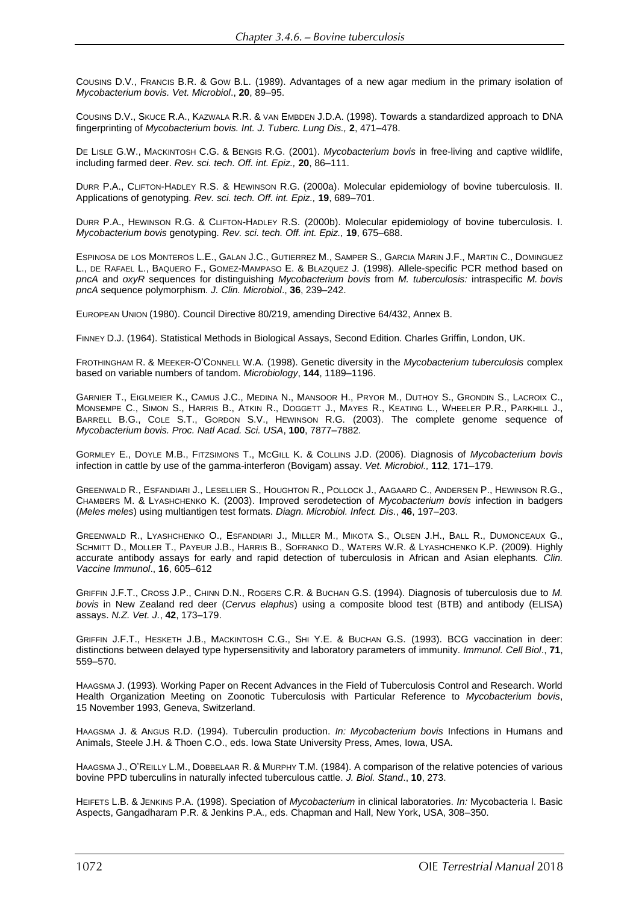COUSINS D.V., FRANCIS B.R. & GOW B.L. (1989). Advantages of a new agar medium in the primary isolation of *Mycobacterium bovis. Vet. Microbiol*., **20**, 89–95.

COUSINS D.V., SKUCE R.A., KAZWALA R.R. & VAN EMBDEN J.D.A. (1998). Towards a standardized approach to DNA fingerprinting of *Mycobacterium bovis. Int. J. Tuberc. Lung Dis.,* **2**, 471–478.

DE LISLE G.W., MACKINTOSH C.G. & BENGIS R.G. (2001). *Mycobacterium bovis* in free-living and captive wildlife, including farmed deer. *Rev. sci. tech. Off. int. Epiz.,* **20**, 86–111.

DURR P.A., CLIFTON-HADLEY R.S. & HEWINSON R.G. (2000a). Molecular epidemiology of bovine tuberculosis. II. Applications of genotyping*. Rev. sci. tech. Off. int. Epiz.,* **19**, 689–701.

DURR P.A., HEWINSON R.G. & CLIFTON-HADLEY R.S. (2000b). Molecular epidemiology of bovine tuberculosis. I. *Mycobacterium bovis* genotyping*. Rev. sci. tech. Off. int. Epiz.,* **19**, 675–688.

ESPINOSA DE LOS MONTEROS L.E., GALAN J.C., GUTIERREZ M., SAMPER S., GARCIA MARIN J.F., MARTIN C., DOMINGUEZ L., DE RAFAEL L., BAQUERO F., GOMEZ-MAMPASO E. & BLAZQUEZ J. (1998). Allele-specific PCR method based on *pncA* and *oxyR* sequences for distinguishing *Mycobacterium bovis* from *M. tuberculosis:* intraspecific *M. bovis pncA* sequence polymorphism. *J. Clin. Microbiol*., **36**, 239–242.

EUROPEAN UNION (1980). Council Directive 80/219, amending Directive 64/432, Annex B.

FINNEY D.J. (1964). Statistical Methods in Biological Assays, Second Edition. Charles Griffin, London, UK.

FROTHINGHAM R. & MEEKER-O'CONNELL W.A. (1998). Genetic diversity in the *Mycobacterium tuberculosis* complex based on variable numbers of tandom. *Microbiology*, **144**, 1189–1196.

GARNIER T., EIGLMEIER K., CAMUS J.C., MEDINA N., MANSOOR H., PRYOR M., DUTHOY S., GRONDIN S., LACROIX C., MONSEMPE C., SIMON S., HARRIS B., ATKIN R., DOGGETT J., MAYES R., KEATING L., WHEELER P.R., PARKHILL J., BARRELL B.G., COLE S.T., GORDON S.V., HEWINSON R.G. (2003). The complete genome sequence of *Mycobacterium bovis. Proc. Natl Acad. Sci. USA*, **100**, 7877–7882.

GORMLEY E., DOYLE M.B., FITZSIMONS T., MCGILL K. & COLLINS J.D. (2006). Diagnosis of *Mycobacterium bovis*  infection in cattle by use of the gamma-interferon (Bovigam) assay. *Vet. Microbiol.,* **112**, 171–179.

GREENWALD R., ESFANDIARI J., L[ESELLIER](http://www.ncbi.nlm.nih.gov/sites/entrez?Db=pubmed&Cmd=Search&Term=%22Lesellier%20S%22%5BAuthor%5D&itool=EntrezSystem2.PEntrez.Pubmed.Pubmed_ResultsPanel.Pubmed_DiscoveryPanel.Pubmed_RVAbstractPlus) S., H[OUGHTON](http://www.ncbi.nlm.nih.gov/sites/entrez?Db=pubmed&Cmd=Search&Term=%22Houghton%20R%22%5BAuthor%5D&itool=EntrezSystem2.PEntrez.Pubmed.Pubmed_ResultsPanel.Pubmed_DiscoveryPanel.Pubmed_RVAbstractPlus) R., P[OLLOCK](http://www.ncbi.nlm.nih.gov/sites/entrez?Db=pubmed&Cmd=Search&Term=%22Pollock%20J%22%5BAuthor%5D&itool=EntrezSystem2.PEntrez.Pubmed.Pubmed_ResultsPanel.Pubmed_DiscoveryPanel.Pubmed_RVAbstractPlus) J., A[AGAARD](http://www.ncbi.nlm.nih.gov/sites/entrez?Db=pubmed&Cmd=Search&Term=%22Aagaard%20C%22%5BAuthor%5D&itool=EntrezSystem2.PEntrez.Pubmed.Pubmed_ResultsPanel.Pubmed_DiscoveryPanel.Pubmed_RVAbstractPlus) C., A[NDERSEN](http://www.ncbi.nlm.nih.gov/sites/entrez?Db=pubmed&Cmd=Search&Term=%22Andersen%20P%22%5BAuthor%5D&itool=EntrezSystem2.PEntrez.Pubmed.Pubmed_ResultsPanel.Pubmed_DiscoveryPanel.Pubmed_RVAbstractPlus) P., H[EWINSON](http://www.ncbi.nlm.nih.gov/sites/entrez?Db=pubmed&Cmd=Search&Term=%22Hewinson%20RG%22%5BAuthor%5D&itool=EntrezSystem2.PEntrez.Pubmed.Pubmed_ResultsPanel.Pubmed_DiscoveryPanel.Pubmed_RVAbstractPlus) R.G., C[HAMBERS](http://www.ncbi.nlm.nih.gov/sites/entrez?Db=pubmed&Cmd=Search&Term=%22Chambers%20M%22%5BAuthor%5D&itool=EntrezSystem2.PEntrez.Pubmed.Pubmed_ResultsPanel.Pubmed_DiscoveryPanel.Pubmed_RVAbstractPlus) M. & L[YASHCHENKO](http://www.ncbi.nlm.nih.gov/sites/entrez?Db=pubmed&Cmd=Search&Term=%22Lyashchenko%20K%22%5BAuthor%5D&itool=EntrezSystem2.PEntrez.Pubmed.Pubmed_ResultsPanel.Pubmed_DiscoveryPanel.Pubmed_RVAbstractPlus) K. (2003). Improved serodetection of *Mycobacterium bovis* infection in badgers (*Meles meles*) using multiantigen test formats. *Diagn. Microbiol. Infect. Dis*., **46**, 197–203.

GREENWALD R., L[YASHCHENKO](http://www.ncbi.nlm.nih.gov/sites/entrez?Db=pubmed&Cmd=Search&Term=%22Lyashchenko%20O%22%5BAuthor%5D&itool=EntrezSystem2.PEntrez.Pubmed.Pubmed_ResultsPanel.Pubmed_DiscoveryPanel.Pubmed_RVAbstractPlus) O., E[SFANDIARI](http://www.ncbi.nlm.nih.gov/sites/entrez?Db=pubmed&Cmd=Search&Term=%22Esfandiari%20J%22%5BAuthor%5D&itool=EntrezSystem2.PEntrez.Pubmed.Pubmed_ResultsPanel.Pubmed_DiscoveryPanel.Pubmed_RVAbstractPlus) J., M[ILLER](http://www.ncbi.nlm.nih.gov/sites/entrez?Db=pubmed&Cmd=Search&Term=%22Miller%20M%22%5BAuthor%5D&itool=EntrezSystem2.PEntrez.Pubmed.Pubmed_ResultsPanel.Pubmed_DiscoveryPanel.Pubmed_RVAbstractPlus) M., M[IKOTA](http://www.ncbi.nlm.nih.gov/sites/entrez?Db=pubmed&Cmd=Search&Term=%22Mikota%20S%22%5BAuthor%5D&itool=EntrezSystem2.PEntrez.Pubmed.Pubmed_ResultsPanel.Pubmed_DiscoveryPanel.Pubmed_RVAbstractPlus) S., OLSEN [J.H.](http://www.ncbi.nlm.nih.gov/sites/entrez?Db=pubmed&Cmd=Search&Term=%22Olsen%20JH%22%5BAuthor%5D&itool=EntrezSystem2.PEntrez.Pubmed.Pubmed_ResultsPanel.Pubmed_DiscoveryPanel.Pubmed_RVAbstractPlus), B[ALL](http://www.ncbi.nlm.nih.gov/sites/entrez?Db=pubmed&Cmd=Search&Term=%22Ball%20R%22%5BAuthor%5D&itool=EntrezSystem2.PEntrez.Pubmed.Pubmed_ResultsPanel.Pubmed_DiscoveryPanel.Pubmed_RVAbstractPlus) R., D[UMONCEAUX](http://www.ncbi.nlm.nih.gov/sites/entrez?Db=pubmed&Cmd=Search&Term=%22Dumonceaux%20G%22%5BAuthor%5D&itool=EntrezSystem2.PEntrez.Pubmed.Pubmed_ResultsPanel.Pubmed_DiscoveryPanel.Pubmed_RVAbstractPlus) G., S[CHMITT](http://www.ncbi.nlm.nih.gov/sites/entrez?Db=pubmed&Cmd=Search&Term=%22Schmitt%20D%22%5BAuthor%5D&itool=EntrezSystem2.PEntrez.Pubmed.Pubmed_ResultsPanel.Pubmed_DiscoveryPanel.Pubmed_RVAbstractPlus) D., M[OLLER](http://www.ncbi.nlm.nih.gov/sites/entrez?Db=pubmed&Cmd=Search&Term=%22Moller%20T%22%5BAuthor%5D&itool=EntrezSystem2.PEntrez.Pubmed.Pubmed_ResultsPanel.Pubmed_DiscoveryPanel.Pubmed_RVAbstractPlus) T., P[AYEUR](http://www.ncbi.nlm.nih.gov/sites/entrez?Db=pubmed&Cmd=Search&Term=%22Payeur%20JB%22%5BAuthor%5D&itool=EntrezSystem2.PEntrez.Pubmed.Pubmed_ResultsPanel.Pubmed_DiscoveryPanel.Pubmed_RVAbstractPlus) J.B., H[ARRIS](http://www.ncbi.nlm.nih.gov/sites/entrez?Db=pubmed&Cmd=Search&Term=%22Harris%20B%22%5BAuthor%5D&itool=EntrezSystem2.PEntrez.Pubmed.Pubmed_ResultsPanel.Pubmed_DiscoveryPanel.Pubmed_RVAbstractPlus) B., S[OFRANKO](http://www.ncbi.nlm.nih.gov/sites/entrez?Db=pubmed&Cmd=Search&Term=%22Sofranko%20D%22%5BAuthor%5D&itool=EntrezSystem2.PEntrez.Pubmed.Pubmed_ResultsPanel.Pubmed_DiscoveryPanel.Pubmed_RVAbstractPlus) D., W[ATERS](http://www.ncbi.nlm.nih.gov/sites/entrez?Db=pubmed&Cmd=Search&Term=%22Waters%20WR%22%5BAuthor%5D&itool=EntrezSystem2.PEntrez.Pubmed.Pubmed_ResultsPanel.Pubmed_DiscoveryPanel.Pubmed_RVAbstractPlus) W.R. & L[YASHCHENKO](http://www.ncbi.nlm.nih.gov/sites/entrez?Db=pubmed&Cmd=Search&Term=%22Lyashchenko%20KP%22%5BAuthor%5D&itool=EntrezSystem2.PEntrez.Pubmed.Pubmed_ResultsPanel.Pubmed_DiscoveryPanel.Pubmed_RVAbstractPlus) K.P. (2009). Highly accurate antibody assays for early and rapid detection of tuberculosis in African and Asian elephants. *Clin. Vaccine Immunol*., **16**, 605–612

GRIFFIN J.F.T., CROSS J.P., CHINN D.N., ROGERS C.R. & BUCHAN G.S. (1994). Diagnosis of tuberculosis due to *M. bovis* in New Zealand red deer (*Cervus elaphus*) using a composite blood test (BTB) and antibody (ELISA) assays. *N.Z. Vet. J.*, **42**, 173–179.

GRIFFIN J.F.T., HESKETH J.B., MACKINTOSH C.G., SHI Y.E. & BUCHAN G.S. (1993). BCG vaccination in deer: distinctions between delayed type hypersensitivity and laboratory parameters of immunity. *Immunol. Cell Biol*., **71**, 559–570.

HAAGSMA J. (1993). Working Paper on Recent Advances in the Field of Tuberculosis Control and Research. World Health Organization Meeting on Zoonotic Tuberculosis with Particular Reference to *Mycobacterium bovis*, 15 November 1993, Geneva, Switzerland.

HAAGSMA J. & ANGUS R.D. (1994). Tuberculin production. *In: Mycobacterium bovis* Infections in Humans and Animals, Steele J.H. & Thoen C.O., eds. Iowa State University Press, Ames, Iowa, USA.

HAAGSMA J., O'REILLY L.M., DOBBELAAR R. & MURPHY T.M. (1984). A comparison of the relative potencies of various bovine PPD tuberculins in naturally infected tuberculous cattle. *J. Biol. Stand*., **10**, 273.

HEIFETS L.B. & JENKINS P.A. (1998). Speciation of *Mycobacterium* in clinical laboratories. *In:* Mycobacteria I. Basic Aspects, Gangadharam P.R. & Jenkins P.A., eds. Chapman and Hall, New York, USA, 308–350.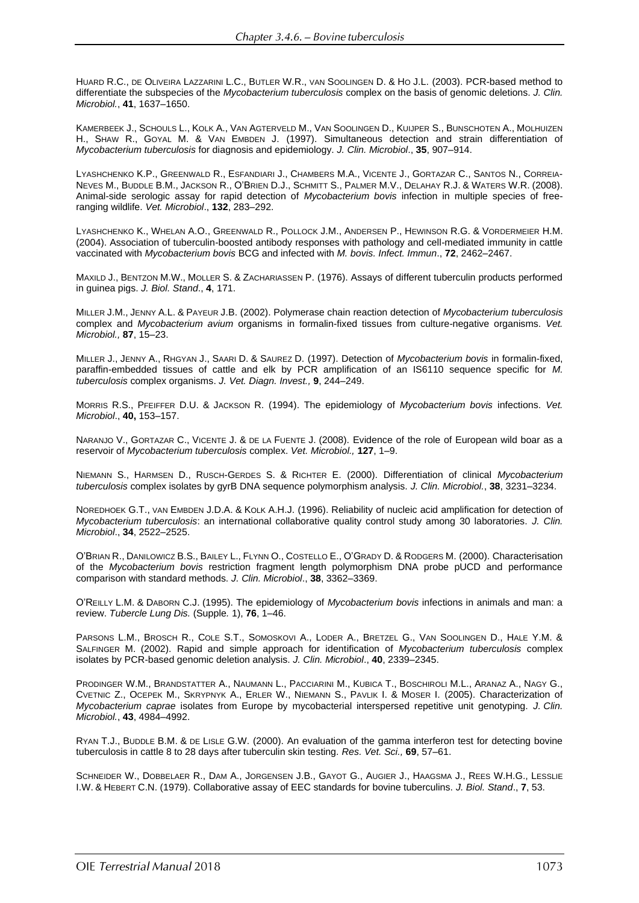HUARD R.C., DE OLIVEIRA LAZZARINI L.C., BUTLER W.R., VAN SOOLINGEN D. & HO J.L. (2003). PCR-based method to differentiate the subspecies of the *Mycobacterium tuberculosis* complex on the basis of genomic deletions. *J. Clin. Microbiol.*, **41**, 1637–1650.

KAMERBEEK J., SCHOULS L., KOLK A., VAN AGTERVELD M., VAN SOOLINGEN D., KUIJPER S., BUNSCHOTEN A., MOLHUIZEN H., SHAW R., GOYAL M. & VAN EMBDEN J. (1997). Simultaneous detection and strain differentiation of *Mycobacterium tuberculosis* for diagnosis and epidemiology. *J. Clin. Microbiol*., **35**, 907–914.

LYASHCHENKO K.P., GREENWALD R., ESFANDIARI J., CHAMBERS M.A., VICENTE J., GORTAZAR C., SANTOS N., CORREIA-NEVES M., BUDDLE B.M., JACKSON R., O'BRIEN D.J., SCHMITT S., PALMER M.V., DELAHAY R.J. & WATERS W.R. (2008). Animal-side serologic assay for rapid detection of *Mycobacterium bovis* infection in multiple species of freeranging wildlife. *Vet. Microbiol*., **132**, 283–292.

LYASHCHENKO K., WHELAN A.O., GREENWALD R., POLLOCK J.M., ANDERSEN P., HEWINSON R.G. & VORDERMEIER H.M. (2004). Association of tuberculin-boosted antibody responses with pathology and cell-mediated immunity in cattle vaccinated with *Mycobacterium bovis* BCG and infected with *M. bovis. Infect. Immun*., **72**, 2462–2467.

MAXILD J., BENTZON M.W., MOLLER S. & ZACHARIASSEN P. (1976). Assays of different tuberculin products performed in guinea pigs. *J. Biol. Stand*., **4**, 171.

MILLER J.M., JENNY A.L. & PAYEUR J.B. (2002). Polymerase chain reaction detection of *Mycobacterium tuberculosis* complex and *Mycobacterium avium* organisms in formalin-fixed tissues from culture-negative organisms. *Vet. Microbiol.,* **87**, 15–23.

MILLER J., JENNY A., RHGYAN J., SAARI D. & SAUREZ D. (1997). Detection of *Mycobacterium bovis* in formalin-fixed, paraffin-embedded tissues of cattle and elk by PCR amplification of an IS6110 sequence specific for *M. tuberculosis* complex organisms. *J. Vet. Diagn. Invest.,* **9**, 244–249.

MORRIS R.S., PFEIFFER D.U. & JACKSON R. (1994). The epidemiology of *Mycobacterium bovis* infections. *Vet. Microbiol*., **40,** 153–157.

NARANJO V., GORTAZAR C., VICENTE J. & DE LA FUENTE J. (2008). Evidence of the role of European wild boar as a reservoir of *Mycobacterium tuberculosis* complex. *Vet. Microbiol.,* **127**, 1–9.

NIEMANN S., HARMSEN D., RUSCH-GERDES S. & RICHTER E. (2000). Differentiation of clinical *Mycobacterium tuberculosis* complex isolates by gyrB DNA sequence polymorphism analysis. *J. Clin. Microbiol.*, **38**, 3231–3234.

NOREDHOEK G.T., VAN EMBDEN J.D.A. & KOLK A.H.J. (1996). Reliability of nucleic acid amplification for detection of *Mycobacterium tuberculosis*: an international collaborative quality control study among 30 laboratories. *J. Clin. Microbiol*., **34**, 2522–2525.

O'BRIAN R., DANILOWICZ B.S., BAILEY L., FLYNN O., COSTELLO E., O'GRADY D. & RODGERS M. (2000). Characterisation of the *Mycobacterium bovis* restriction fragment length polymorphism DNA probe pUCD and performance comparison with standard methods. *J. Clin. Microbiol*., **38**, 3362–3369.

O'REILLY L.M. & DABORN C.J. (1995). The epidemiology of *Mycobacterium bovis* infections in animals and man: a review. *Tubercle Lung Dis.* (Supple*.* 1), **76**, 1–46.

PARSONS L.M., BROSCH R., COLE S.T., SOMOSKOVI A., LODER A., BRETZEL G., VAN SOOLINGEN D., HALE Y.M. & SALFINGER M. (2002). Rapid and simple approach for identification of *Mycobacterium tuberculosis* complex isolates by PCR-based genomic deletion analysis. *J. Clin. Microbiol*., **40**, 2339–2345.

PRODINGER W.M., BRANDSTATTER A., NAUMANN L., PACCIARINI M., KUBICA T., BOSCHIROLI M.L., ARANAZ A., NAGY G., CVETNIC Z., OCEPEK M., SKRYPNYK A., ERLER W., NIEMANN S., PAVLIK I. & MOSER I. (2005). Characterization of *Mycobacterium caprae* isolates from Europe by mycobacterial interspersed repetitive unit genotyping. *J. Clin. Microbiol.*, **43**, 4984–4992.

RYAN T.J., BUDDLE B.M. & DE LISLE G.W. (2000). An evaluation of the gamma interferon test for detecting bovine tuberculosis in cattle 8 to 28 days after tuberculin skin testing. *Res. Vet. Sci.,* **69**, 57–61.

SCHNEIDER W., DOBBELAER R., DAM A., JORGENSEN J.B., GAYOT G., AUGIER J., HAAGSMA J., REES W.H.G., LESSLIE I.W. & HEBERT C.N. (1979). Collaborative assay of EEC standards for bovine tuberculins. *J. Biol. Stand*., **7**, 53.